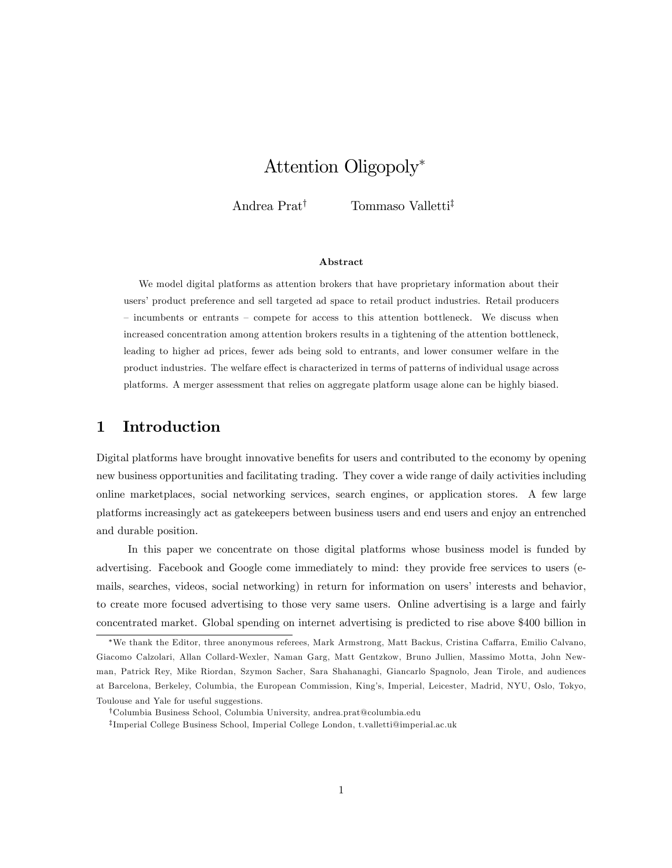# Attention Oligopoly

Andrea Prat<sup>†</sup> Tommaso Valletti<sup>‡</sup>

#### Abstract

We model digital platforms as attention brokers that have proprietary information about their users' product preference and sell targeted ad space to retail product industries. Retail producers  $-$  incumbents or entrants  $-$  compete for access to this attention bottleneck. We discuss when increased concentration among attention brokers results in a tightening of the attention bottleneck, leading to higher ad prices, fewer ads being sold to entrants, and lower consumer welfare in the product industries. The welfare effect is characterized in terms of patterns of individual usage across platforms. A merger assessment that relies on aggregate platform usage alone can be highly biased.

## 1 Introduction

Digital platforms have brought innovative benefits for users and contributed to the economy by opening new business opportunities and facilitating trading. They cover a wide range of daily activities including online marketplaces, social networking services, search engines, or application stores. A few large platforms increasingly act as gatekeepers between business users and end users and enjoy an entrenched and durable position.

In this paper we concentrate on those digital platforms whose business model is funded by advertising. Facebook and Google come immediately to mind: they provide free services to users (emails, searches, videos, social networking) in return for information on users' interests and behavior, to create more focused advertising to those very same users. Online advertising is a large and fairly concentrated market. Global spending on internet advertising is predicted to rise above \$400 billion in

<sup>\*</sup>We thank the Editor, three anonymous referees, Mark Armstrong, Matt Backus, Cristina Caffarra, Emilio Calvano, Giacomo Calzolari, Allan Collard-Wexler, Naman Garg, Matt Gentzkow, Bruno Jullien, Massimo Motta, John Newman, Patrick Rey, Mike Riordan, Szymon Sacher, Sara Shahanaghi, Giancarlo Spagnolo, Jean Tirole, and audiences at Barcelona, Berkeley, Columbia, the European Commission, Kingís, Imperial, Leicester, Madrid, NYU, Oslo, Tokyo, Toulouse and Yale for useful suggestions.

yColumbia Business School, Columbia University, andrea.prat@columbia.edu

z Imperial College Business School, Imperial College London, t.valletti@imperial.ac.uk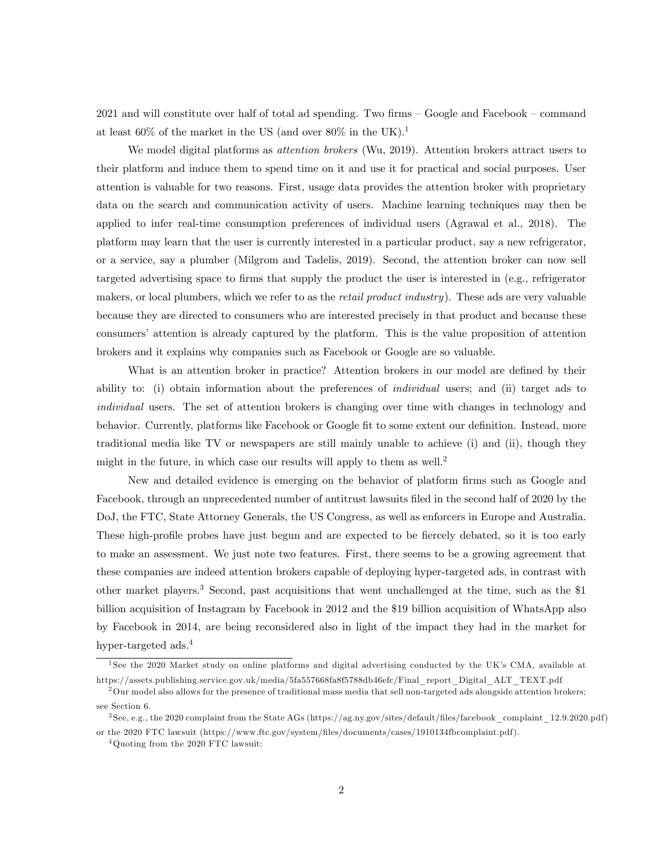$2021$  and will constitute over half of total ad spending. Two firms  $-$  Google and Facebook  $-$  command at least  $60\%$  of the market in the US (and over  $80\%$  in the UK).<sup>1</sup>

We model digital platforms as *attention brokers* (Wu, 2019). Attention brokers attract users to their platform and induce them to spend time on it and use it for practical and social purposes. User attention is valuable for two reasons. First, usage data provides the attention broker with proprietary data on the search and communication activity of users. Machine learning techniques may then be applied to infer real-time consumption preferences of individual users (Agrawal et al., 2018). The platform may learn that the user is currently interested in a particular product, say a new refrigerator, or a service, say a plumber (Milgrom and Tadelis, 2019). Second, the attention broker can now sell targeted advertising space to firms that supply the product the user is interested in (e.g., refrigerator makers, or local plumbers, which we refer to as the *retail product industry*). These ads are very valuable because they are directed to consumers who are interested precisely in that product and because these consumersí attention is already captured by the platform. This is the value proposition of attention brokers and it explains why companies such as Facebook or Google are so valuable.

What is an attention broker in practice? Attention brokers in our model are defined by their ability to: (i) obtain information about the preferences of individual users; and (ii) target ads to individual users. The set of attention brokers is changing over time with changes in technology and behavior. Currently, platforms like Facebook or Google fit to some extent our definition. Instead, more traditional media like TV or newspapers are still mainly unable to achieve (i) and (ii), though they might in the future, in which case our results will apply to them as well.<sup>2</sup>

New and detailed evidence is emerging on the behavior of platform firms such as Google and Facebook, through an unprecedented number of antitrust lawsuits filed in the second half of 2020 by the DoJ, the FTC, State Attorney Generals, the US Congress, as well as enforcers in Europe and Australia. These high-profile probes have just begun and are expected to be fiercely debated, so it is too early to make an assessment. We just note two features. First, there seems to be a growing agreement that these companies are indeed attention brokers capable of deploying hyper-targeted ads, in contrast with other market players.<sup>3</sup> Second, past acquisitions that went unchallenged at the time, such as the \$1 billion acquisition of Instagram by Facebook in 2012 and the \$19 billion acquisition of WhatsApp also by Facebook in 2014, are being reconsidered also in light of the impact they had in the market for hyper-targeted ads.<sup>4</sup>

<sup>&</sup>lt;sup>1</sup> See the 2020 Market study on online platforms and digital advertising conducted by the UK's CMA, available at https://assets.publishing.service.gov.uk/media/5fa557668fa8f5788db46efc/Final\_report\_Digital\_ALT\_TEXT.pdf

 $2$ Our model also allows for the presence of traditional mass media that sell non-targeted ads alongside attention brokers; see Section 6.

<sup>3</sup> See, e.g., the 2020 complaint from the State AGs (https://ag.ny.gov/sites/default/Öles/facebook\_complaint\_12.9.2020.pdf ) or the 2020 FTC lawsuit (https://www.ftc.gov/system/Öles/documents/cases/1910134fbcomplaint.pdf ).

<sup>4</sup>Quoting from the 2020 FTC lawsuit: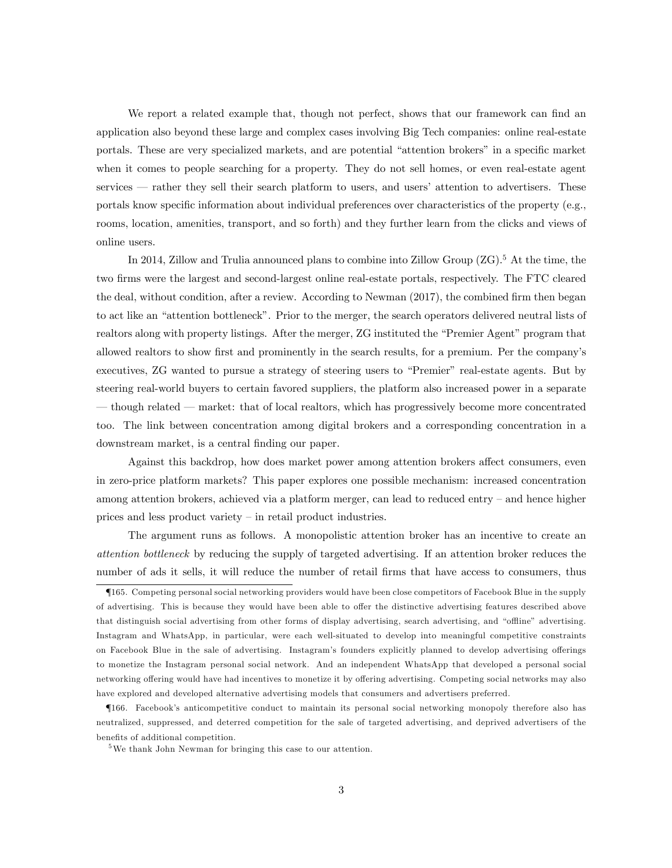We report a related example that, though not perfect, shows that our framework can find an application also beyond these large and complex cases involving Big Tech companies: online real-estate portals. These are very specialized markets, and are potential "attention brokers" in a specific market when it comes to people searching for a property. They do not sell homes, or even real-estate agent services – rather they sell their search platform to users, and users' attention to advertisers. These portals know specific information about individual preferences over characteristics of the property (e.g., rooms, location, amenities, transport, and so forth) and they further learn from the clicks and views of online users.

In 2014, Zillow and Trulia announced plans to combine into Zillow Group  $(ZG)$ .<sup>5</sup> At the time, the two firms were the largest and second-largest online real-estate portals, respectively. The FTC cleared the deal, without condition, after a review. According to Newman  $(2017)$ , the combined firm then began to act like an "attention bottleneck". Prior to the merger, the search operators delivered neutral lists of realtors along with property listings. After the merger, ZG instituted the "Premier Agent" program that allowed realtors to show first and prominently in the search results, for a premium. Per the company's executives, ZG wanted to pursue a strategy of steering users to "Premier" real-estate agents. But by steering real-world buyers to certain favored suppliers, the platform also increased power in a separate  $-$  though related  $-$  market: that of local realtors, which has progressively become more concentrated too. The link between concentration among digital brokers and a corresponding concentration in a downstream market, is a central finding our paper.

Against this backdrop, how does market power among attention brokers affect consumers, even in zero-price platform markets? This paper explores one possible mechanism: increased concentration among attention brokers, achieved via a platform merger, can lead to reduced entry – and hence higher prices and less product variety  $\overline{\phantom{a}}$  in retail product industries.

The argument runs as follows. A monopolistic attention broker has an incentive to create an attention bottleneck by reducing the supply of targeted advertising. If an attention broker reduces the number of ads it sells, it will reduce the number of retail firms that have access to consumers, thus

<sup>{</sup>165. Competing personal social networking providers would have been close competitors of Facebook Blue in the supply of advertising. This is because they would have been able to offer the distinctive advertising features described above that distinguish social advertising from other forms of display advertising, search advertising, and "offline" advertising. Instagram and WhatsApp, in particular, were each well-situated to develop into meaningful competitive constraints on Facebook Blue in the sale of advertising. Instagram's founders explicitly planned to develop advertising offerings to monetize the Instagram personal social network. And an independent WhatsApp that developed a personal social networking offering would have had incentives to monetize it by offering advertising. Competing social networks may also have explored and developed alternative advertising models that consumers and advertisers preferred.

<sup>{</sup>166. Facebookís anticompetitive conduct to maintain its personal social networking monopoly therefore also has neutralized, suppressed, and deterred competition for the sale of targeted advertising, and deprived advertisers of the benefits of additional competition.

<sup>5</sup>We thank John Newman for bringing this case to our attention.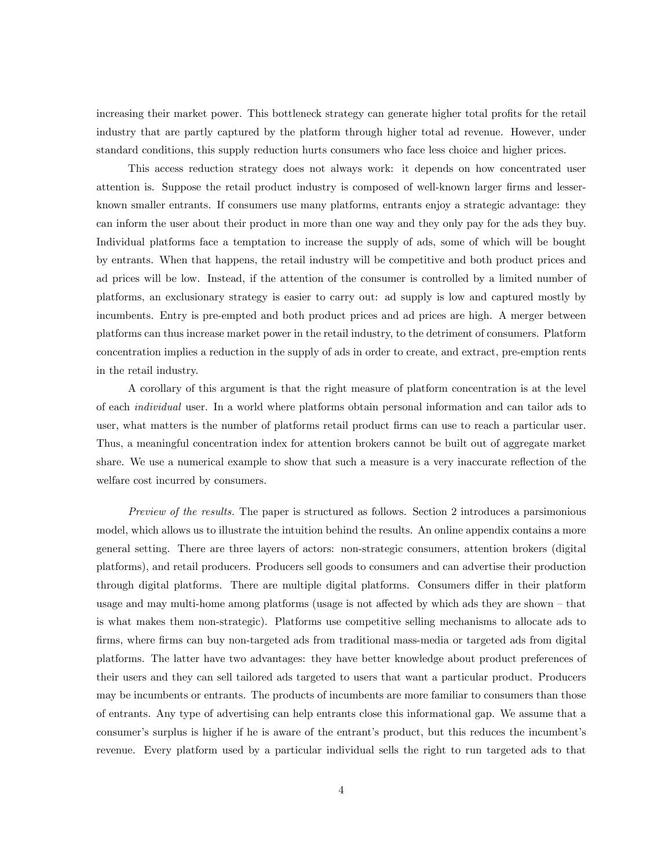increasing their market power. This bottleneck strategy can generate higher total profits for the retail industry that are partly captured by the platform through higher total ad revenue. However, under standard conditions, this supply reduction hurts consumers who face less choice and higher prices.

This access reduction strategy does not always work: it depends on how concentrated user attention is. Suppose the retail product industry is composed of well-known larger firms and lesserknown smaller entrants. If consumers use many platforms, entrants enjoy a strategic advantage: they can inform the user about their product in more than one way and they only pay for the ads they buy. Individual platforms face a temptation to increase the supply of ads, some of which will be bought by entrants. When that happens, the retail industry will be competitive and both product prices and ad prices will be low. Instead, if the attention of the consumer is controlled by a limited number of platforms, an exclusionary strategy is easier to carry out: ad supply is low and captured mostly by incumbents. Entry is pre-empted and both product prices and ad prices are high. A merger between platforms can thus increase market power in the retail industry, to the detriment of consumers. Platform concentration implies a reduction in the supply of ads in order to create, and extract, pre-emption rents in the retail industry.

A corollary of this argument is that the right measure of platform concentration is at the level of each individual user. In a world where platforms obtain personal information and can tailor ads to user, what matters is the number of platforms retail product firms can use to reach a particular user. Thus, a meaningful concentration index for attention brokers cannot be built out of aggregate market share. We use a numerical example to show that such a measure is a very inaccurate reflection of the welfare cost incurred by consumers.

Preview of the results. The paper is structured as follows. Section 2 introduces a parsimonious model, which allows us to illustrate the intuition behind the results. An online appendix contains a more general setting. There are three layers of actors: non-strategic consumers, attention brokers (digital platforms), and retail producers. Producers sell goods to consumers and can advertise their production through digital platforms. There are multiple digital platforms. Consumers differ in their platform usage and may multi-home among platforms (usage is not affected by which ads they are shown  $-$  that is what makes them non-strategic). Platforms use competitive selling mechanisms to allocate ads to firms, where firms can buy non-targeted ads from traditional mass-media or targeted ads from digital platforms. The latter have two advantages: they have better knowledge about product preferences of their users and they can sell tailored ads targeted to users that want a particular product. Producers may be incumbents or entrants. The products of incumbents are more familiar to consumers than those of entrants. Any type of advertising can help entrants close this informational gap. We assume that a consumer's surplus is higher if he is aware of the entrant's product, but this reduces the incumbent's revenue. Every platform used by a particular individual sells the right to run targeted ads to that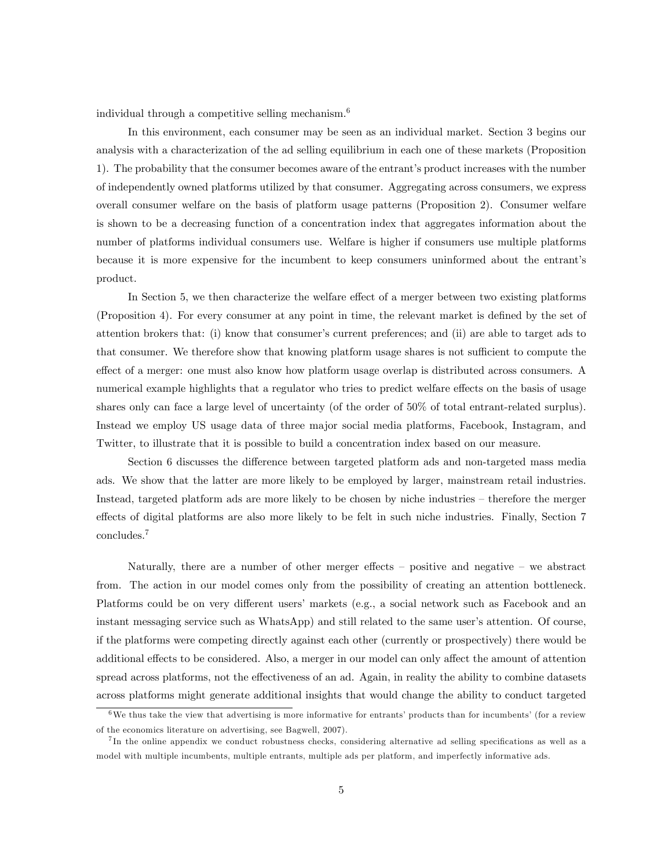individual through a competitive selling mechanism.<sup>6</sup>

In this environment, each consumer may be seen as an individual market. Section 3 begins our analysis with a characterization of the ad selling equilibrium in each one of these markets (Proposition 1). The probability that the consumer becomes aware of the entrant's product increases with the number of independently owned platforms utilized by that consumer. Aggregating across consumers, we express overall consumer welfare on the basis of platform usage patterns (Proposition 2). Consumer welfare is shown to be a decreasing function of a concentration index that aggregates information about the number of platforms individual consumers use. Welfare is higher if consumers use multiple platforms because it is more expensive for the incumbent to keep consumers uninformed about the entrant's product.

In Section 5, we then characterize the welfare effect of a merger between two existing platforms (Proposition 4). For every consumer at any point in time, the relevant market is defined by the set of attention brokers that: (i) know that consumer's current preferences; and (ii) are able to target ads to that consumer. We therefore show that knowing platform usage shares is not sufficient to compute the effect of a merger: one must also know how platform usage overlap is distributed across consumers. A numerical example highlights that a regulator who tries to predict welfare effects on the basis of usage shares only can face a large level of uncertainty (of the order of 50% of total entrant-related surplus). Instead we employ US usage data of three major social media platforms, Facebook, Instagram, and Twitter, to illustrate that it is possible to build a concentration index based on our measure.

Section 6 discusses the difference between targeted platform ads and non-targeted mass media ads. We show that the latter are more likely to be employed by larger, mainstream retail industries. Instead, targeted platform ads are more likely to be chosen by niche industries – therefore the merger effects of digital platforms are also more likely to be felt in such niche industries. Finally, Section 7 concludes.<sup>7</sup>

Naturally, there are a number of other merger effects  $-$  positive and negative  $-$  we abstract from. The action in our model comes only from the possibility of creating an attention bottleneck. Platforms could be on very different users' markets (e.g., a social network such as Facebook and an instant messaging service such as WhatsApp) and still related to the same user's attention. Of course, if the platforms were competing directly against each other (currently or prospectively) there would be additional effects to be considered. Also, a merger in our model can only affect the amount of attention spread across platforms, not the effectiveness of an ad. Again, in reality the ability to combine datasets across platforms might generate additional insights that would change the ability to conduct targeted

 $6$ We thus take the view that advertising is more informative for entrants' products than for incumbents' (for a review of the economics literature on advertising, see Bagwell, 2007).

<sup>&</sup>lt;sup>7</sup>In the online appendix we conduct robustness checks, considering alternative ad selling specifications as well as a model with multiple incumbents, multiple entrants, multiple ads per platform, and imperfectly informative ads.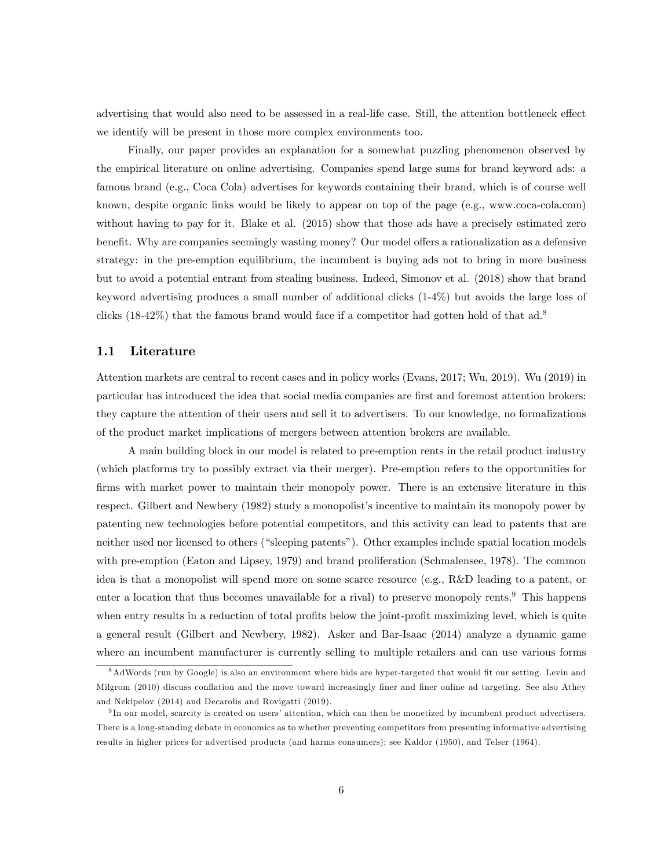advertising that would also need to be assessed in a real-life case. Still, the attention bottleneck effect we identify will be present in those more complex environments too.

Finally, our paper provides an explanation for a somewhat puzzling phenomenon observed by the empirical literature on online advertising. Companies spend large sums for brand keyword ads: a famous brand (e.g., Coca Cola) advertises for keywords containing their brand, which is of course well known, despite organic links would be likely to appear on top of the page (e.g., www.coca-cola.com) without having to pay for it. Blake et al. (2015) show that those ads have a precisely estimated zero benefit. Why are companies seemingly wasting money? Our model offers a rationalization as a defensive strategy: in the pre-emption equilibrium, the incumbent is buying ads not to bring in more business but to avoid a potential entrant from stealing business. Indeed, Simonov et al. (2018) show that brand keyword advertising produces a small number of additional clicks (1-4%) but avoids the large loss of clicks  $(18-42\%)$  that the famous brand would face if a competitor had gotten hold of that ad.<sup>8</sup>

## 1.1 Literature

Attention markets are central to recent cases and in policy works (Evans, 2017; Wu, 2019). Wu (2019) in particular has introduced the idea that social media companies are first and foremost attention brokers: they capture the attention of their users and sell it to advertisers. To our knowledge, no formalizations of the product market implications of mergers between attention brokers are available.

A main building block in our model is related to pre-emption rents in the retail product industry (which platforms try to possibly extract via their merger). Pre-emption refers to the opportunities for firms with market power to maintain their monopoly power. There is an extensive literature in this respect. Gilbert and Newbery (1982) study a monopolist's incentive to maintain its monopoly power by patenting new technologies before potential competitors, and this activity can lead to patents that are neither used nor licensed to others ("sleeping patents"). Other examples include spatial location models with pre-emption (Eaton and Lipsey, 1979) and brand proliferation (Schmalensee, 1978). The common idea is that a monopolist will spend more on some scarce resource (e.g., R&D leading to a patent, or enter a location that thus becomes unavailable for a rival) to preserve monopoly rents.<sup>9</sup> This happens when entry results in a reduction of total profits below the joint-profit maximizing level, which is quite a general result (Gilbert and Newbery, 1982). Asker and Bar-Isaac (2014) analyze a dynamic game where an incumbent manufacturer is currently selling to multiple retailers and can use various forms

<sup>&</sup>lt;sup>8</sup>AdWords (run by Google) is also an environment where bids are hyper-targeted that would fit our setting. Levin and Milgrom (2010) discuss conflation and the move toward increasingly finer and finer online ad targeting. See also Athey and Nekipelov (2014) and Decarolis and Rovigatti (2019).

<sup>&</sup>lt;sup>9</sup>In our model, scarcity is created on users' attention, which can then be monetized by incumbent product advertisers. There is a long-standing debate in economics as to whether preventing competitors from presenting informative advertising results in higher prices for advertised products (and harms consumers); see Kaldor (1950), and Telser (1964).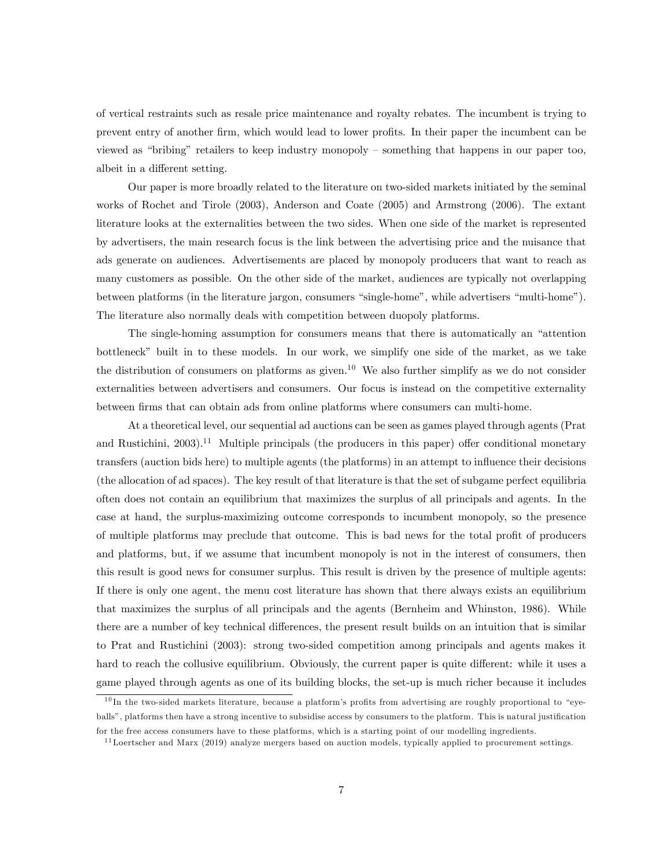of vertical restraints such as resale price maintenance and royalty rebates. The incumbent is trying to prevent entry of another firm, which would lead to lower profits. In their paper the incumbent can be viewed as "bribing" retailers to keep industry monopoly – something that happens in our paper too, albeit in a different setting.

Our paper is more broadly related to the literature on two-sided markets initiated by the seminal works of Rochet and Tirole (2003), Anderson and Coate (2005) and Armstrong (2006). The extant literature looks at the externalities between the two sides. When one side of the market is represented by advertisers, the main research focus is the link between the advertising price and the nuisance that ads generate on audiences. Advertisements are placed by monopoly producers that want to reach as many customers as possible. On the other side of the market, audiences are typically not overlapping between platforms (in the literature jargon, consumers "single-home", while advertisers "multi-home"). The literature also normally deals with competition between duopoly platforms.

The single-homing assumption for consumers means that there is automatically an "attention" bottleneckî built in to these models. In our work, we simplify one side of the market, as we take the distribution of consumers on platforms as given.<sup>10</sup> We also further simplify as we do not consider externalities between advertisers and consumers. Our focus is instead on the competitive externality between firms that can obtain ads from online platforms where consumers can multi-home.

At a theoretical level, our sequential ad auctions can be seen as games played through agents (Prat and Rustichini,  $2003$ .<sup>11</sup> Multiple principals (the producers in this paper) offer conditional monetary transfers (auction bids here) to multiple agents (the platforms) in an attempt to ináuence their decisions (the allocation of ad spaces). The key result of that literature is that the set of subgame perfect equilibria often does not contain an equilibrium that maximizes the surplus of all principals and agents. In the case at hand, the surplus-maximizing outcome corresponds to incumbent monopoly, so the presence of multiple platforms may preclude that outcome. This is bad news for the total profit of producers and platforms, but, if we assume that incumbent monopoly is not in the interest of consumers, then this result is good news for consumer surplus. This result is driven by the presence of multiple agents: If there is only one agent, the menu cost literature has shown that there always exists an equilibrium that maximizes the surplus of all principals and the agents (Bernheim and Whinston, 1986). While there are a number of key technical differences, the present result builds on an intuition that is similar to Prat and Rustichini (2003): strong two-sided competition among principals and agents makes it hard to reach the collusive equilibrium. Obviously, the current paper is quite different: while it uses a game played through agents as one of its building blocks, the set-up is much richer because it includes

 $10$  In the two-sided markets literature, because a platform's profits from advertising are roughly proportional to "eyeballs", platforms then have a strong incentive to subsidise access by consumers to the platform. This is natural justification for the free access consumers have to these platforms, which is a starting point of our modelling ingredients.

 $11$ Loertscher and Marx (2019) analyze mergers based on auction models, typically applied to procurement settings.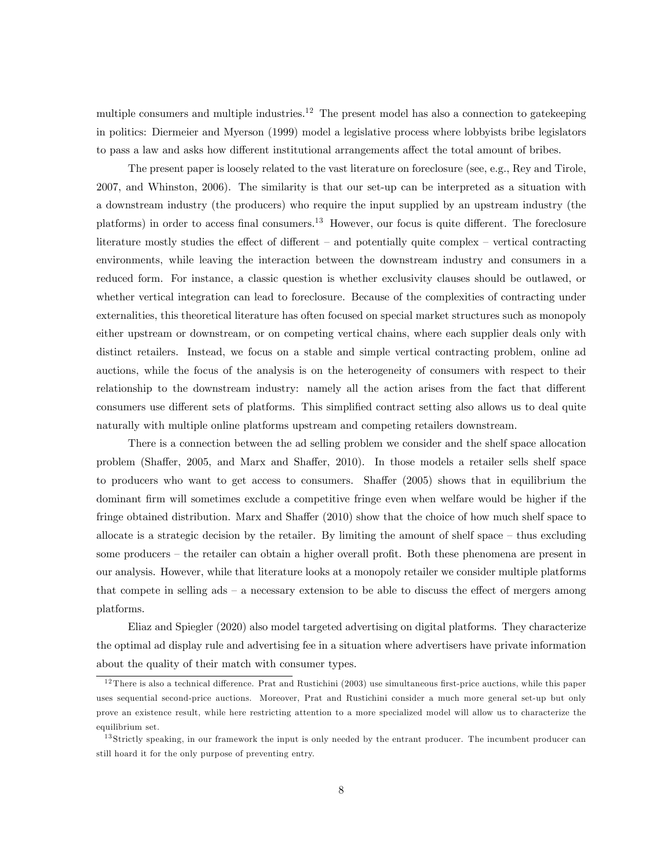multiple consumers and multiple industries.<sup>12</sup> The present model has also a connection to gatekeeping in politics: Diermeier and Myerson (1999) model a legislative process where lobbyists bribe legislators to pass a law and asks how different institutional arrangements affect the total amount of bribes.

The present paper is loosely related to the vast literature on foreclosure (see, e.g., Rey and Tirole, 2007, and Whinston, 2006). The similarity is that our set-up can be interpreted as a situation with a downstream industry (the producers) who require the input supplied by an upstream industry (the platforms) in order to access final consumers.<sup>13</sup> However, our focus is quite different. The foreclosure literature mostly studies the effect of different  $-$  and potentially quite complex  $-$  vertical contracting environments, while leaving the interaction between the downstream industry and consumers in a reduced form. For instance, a classic question is whether exclusivity clauses should be outlawed, or whether vertical integration can lead to foreclosure. Because of the complexities of contracting under externalities, this theoretical literature has often focused on special market structures such as monopoly either upstream or downstream, or on competing vertical chains, where each supplier deals only with distinct retailers. Instead, we focus on a stable and simple vertical contracting problem, online ad auctions, while the focus of the analysis is on the heterogeneity of consumers with respect to their relationship to the downstream industry: namely all the action arises from the fact that different consumers use different sets of platforms. This simplified contract setting also allows us to deal quite naturally with multiple online platforms upstream and competing retailers downstream.

There is a connection between the ad selling problem we consider and the shelf space allocation problem (Shaffer, 2005, and Marx and Shaffer, 2010). In those models a retailer sells shelf space to producers who want to get access to consumers. Shaffer  $(2005)$  shows that in equilibrium the dominant firm will sometimes exclude a competitive fringe even when welfare would be higher if the fringe obtained distribution. Marx and Shaffer (2010) show that the choice of how much shelf space to allocate is a strategic decision by the retailer. By limiting the amount of shelf space  $-$  thus excluding some producers – the retailer can obtain a higher overall profit. Both these phenomena are present in our analysis. However, while that literature looks at a monopoly retailer we consider multiple platforms that compete in selling  $ads - a$  necessary extension to be able to discuss the effect of mergers among platforms.

Eliaz and Spiegler (2020) also model targeted advertising on digital platforms. They characterize the optimal ad display rule and advertising fee in a situation where advertisers have private information about the quality of their match with consumer types.

 $12$  There is also a technical difference. Prat and Rustichini (2003) use simultaneous first-price auctions, while this paper uses sequential second-price auctions. Moreover, Prat and Rustichini consider a much more general set-up but only prove an existence result, while here restricting attention to a more specialized model will allow us to characterize the equilibrium set.

<sup>&</sup>lt;sup>13</sup> Strictly speaking, in our framework the input is only needed by the entrant producer. The incumbent producer can still hoard it for the only purpose of preventing entry.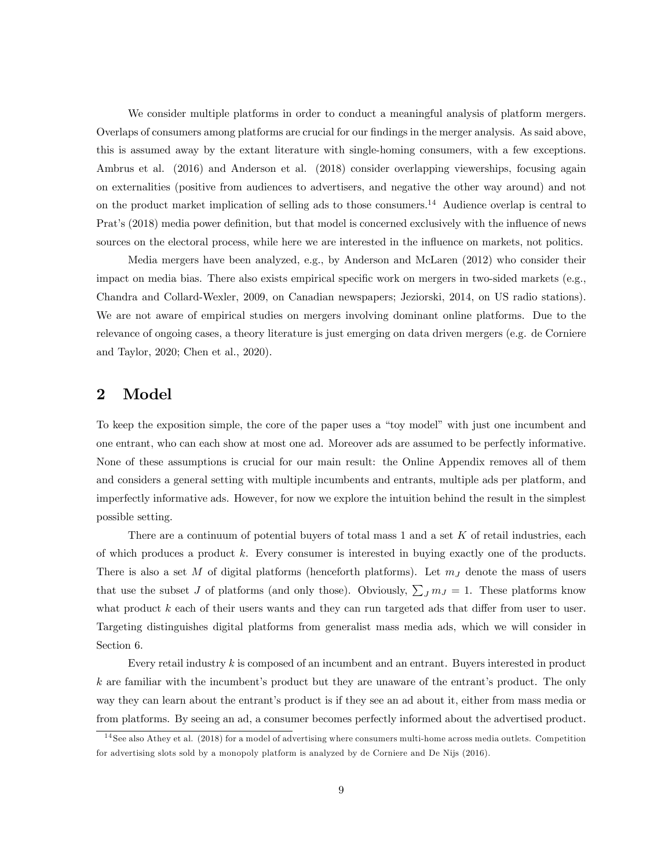We consider multiple platforms in order to conduct a meaningful analysis of platform mergers. Overlaps of consumers among platforms are crucial for our findings in the merger analysis. As said above, this is assumed away by the extant literature with single-homing consumers, with a few exceptions. Ambrus et al. (2016) and Anderson et al. (2018) consider overlapping viewerships, focusing again on externalities (positive from audiences to advertisers, and negative the other way around) and not on the product market implication of selling ads to those consumers.<sup>14</sup> Audience overlap is central to Prat's (2018) media power definition, but that model is concerned exclusively with the influence of news sources on the electoral process, while here we are interested in the influence on markets, not politics.

Media mergers have been analyzed, e.g., by Anderson and McLaren (2012) who consider their impact on media bias. There also exists empirical specific work on mergers in two-sided markets (e.g., Chandra and Collard-Wexler, 2009, on Canadian newspapers; Jeziorski, 2014, on US radio stations). We are not aware of empirical studies on mergers involving dominant online platforms. Due to the relevance of ongoing cases, a theory literature is just emerging on data driven mergers (e.g. de Corniere and Taylor, 2020; Chen et al., 2020).

## 2 Model

To keep the exposition simple, the core of the paper uses a "toy model" with just one incumbent and one entrant, who can each show at most one ad. Moreover ads are assumed to be perfectly informative. None of these assumptions is crucial for our main result: the Online Appendix removes all of them and considers a general setting with multiple incumbents and entrants, multiple ads per platform, and imperfectly informative ads. However, for now we explore the intuition behind the result in the simplest possible setting.

There are a continuum of potential buyers of total mass  $1$  and a set  $K$  of retail industries, each of which produces a product k. Every consumer is interested in buying exactly one of the products. There is also a set M of digital platforms (henceforth platforms). Let  $m<sub>J</sub>$  denote the mass of users that use the subset J of platforms (and only those). Obviously,  $\sum_J m_J = 1$ . These platforms know what product  $k$  each of their users wants and they can run targeted ads that differ from user to user. Targeting distinguishes digital platforms from generalist mass media ads, which we will consider in Section 6.

Every retail industry k is composed of an incumbent and an entrant. Buyers interested in product  $k$  are familiar with the incumbent's product but they are unaware of the entrant's product. The only way they can learn about the entrant's product is if they see an ad about it, either from mass media or from platforms. By seeing an ad, a consumer becomes perfectly informed about the advertised product.

<sup>14</sup> See also Athey et al. (2018) for a model of advertising where consumers multi-home across media outlets. Competition for advertising slots sold by a monopoly platform is analyzed by de Corniere and De Nijs (2016).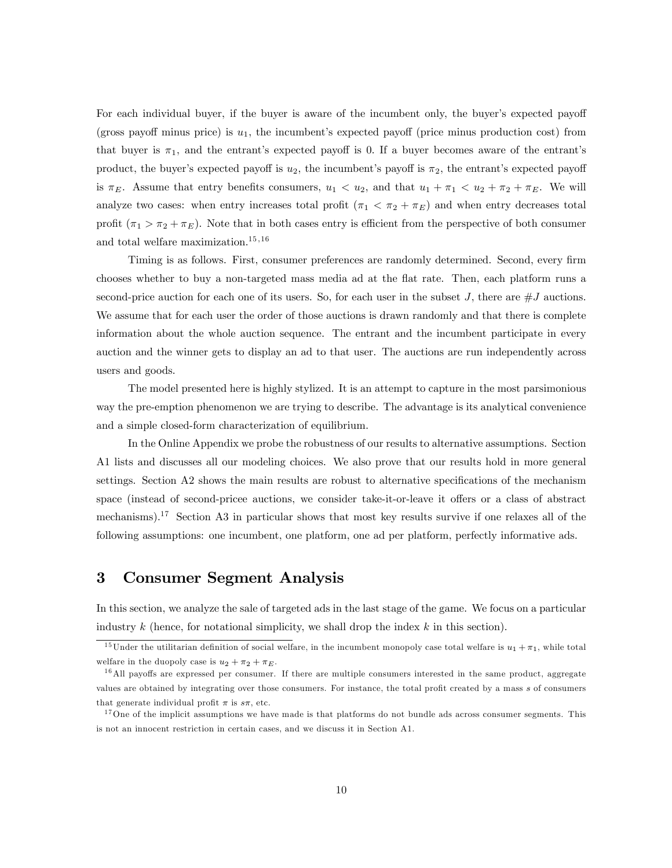For each individual buyer, if the buyer is aware of the incumbent only, the buyer's expected payoff (gross payoff minus price) is  $u_1$ , the incumbent's expected payoff (price minus production cost) from that buyer is  $\pi_1$ , and the entrant's expected payoff is 0. If a buyer becomes aware of the entrant's product, the buyer's expected payoff is  $u_2$ , the incumbent's payoff is  $\pi_2$ , the entrant's expected payoff is  $\pi_E$ . Assume that entry benefits consumers,  $u_1 < u_2$ , and that  $u_1 + \pi_1 < u_2 + \pi_2 + \pi_E$ . We will analyze two cases: when entry increases total profit  $(\pi_1 < \pi_2 + \pi_E)$  and when entry decreases total profit  $(\pi_1 > \pi_2 + \pi_E)$ . Note that in both cases entry is efficient from the perspective of both consumer and total welfare maximization.<sup>15,16</sup>

Timing is as follows. First, consumer preferences are randomly determined. Second, every firm chooses whether to buy a non-targeted mass media ad at the áat rate. Then, each platform runs a second-price auction for each one of its users. So, for each user in the subset J, there are  $\#J$  auctions. We assume that for each user the order of those auctions is drawn randomly and that there is complete information about the whole auction sequence. The entrant and the incumbent participate in every auction and the winner gets to display an ad to that user. The auctions are run independently across users and goods.

The model presented here is highly stylized. It is an attempt to capture in the most parsimonious way the pre-emption phenomenon we are trying to describe. The advantage is its analytical convenience and a simple closed-form characterization of equilibrium.

In the Online Appendix we probe the robustness of our results to alternative assumptions. Section A1 lists and discusses all our modeling choices. We also prove that our results hold in more general settings. Section A2 shows the main results are robust to alternative specifications of the mechanism space (instead of second-pricee auctions, we consider take-it-or-leave it offers or a class of abstract mechanisms).<sup>17</sup> Section A3 in particular shows that most key results survive if one relaxes all of the following assumptions: one incumbent, one platform, one ad per platform, perfectly informative ads.

## 3 Consumer Segment Analysis

In this section, we analyze the sale of targeted ads in the last stage of the game. We focus on a particular industry  $k$  (hence, for notational simplicity, we shall drop the index  $k$  in this section).

<sup>&</sup>lt;sup>15</sup>Under the utilitarian definition of social welfare, in the incumbent monopoly case total welfare is  $u_1 + \pi_1$ , while total welfare in the duopoly case is  $u_2 + \pi_2 + \pi_E$ .

 $16$ All payoffs are expressed per consumer. If there are multiple consumers interested in the same product, aggregate values are obtained by integrating over those consumers. For instance, the total profit created by a mass s of consumers that generate individual profit  $\pi$  is  $s\pi$ , etc.

<sup>&</sup>lt;sup>17</sup>One of the implicit assumptions we have made is that platforms do not bundle ads across consumer segments. This is not an innocent restriction in certain cases, and we discuss it in Section A1.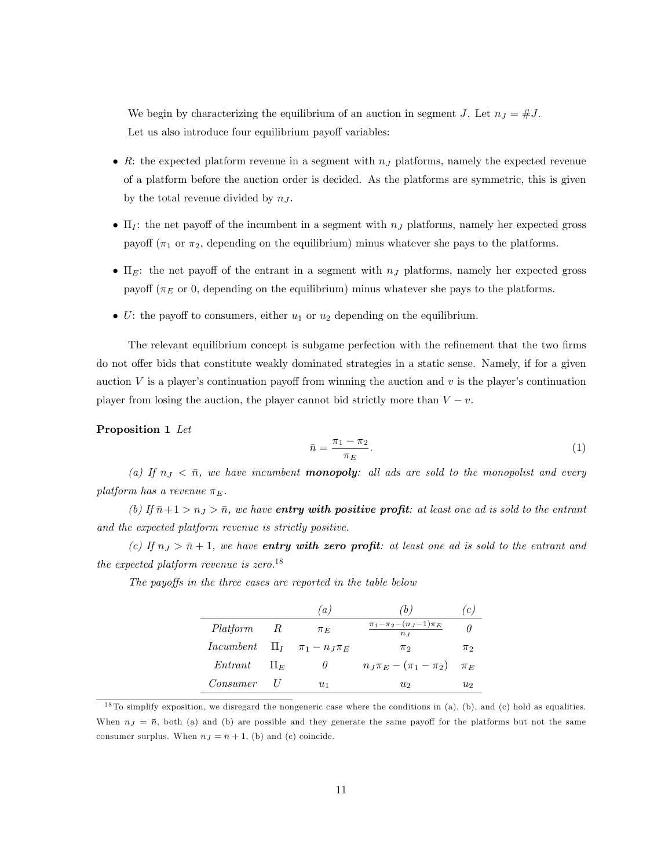We begin by characterizing the equilibrium of an auction in segment J. Let  $n_J = #J$ . Let us also introduce four equilibrium payoff variables:

- R: the expected platform revenue in a segment with  $n_J$  platforms, namely the expected revenue of a platform before the auction order is decided. As the platforms are symmetric, this is given by the total revenue divided by  $n<sub>J</sub>$ .
- $\bullet$  II<sub>I</sub>: the net payoff of the incumbent in a segment with  $n_J$  platforms, namely her expected gross payoff ( $\pi_1$  or  $\pi_2$ , depending on the equilibrium) minus whatever she pays to the platforms.
- $\bullet$   $\Pi$ <sub>E</sub>: the net payoff of the entrant in a segment with  $n<sub>J</sub>$  platforms, namely her expected gross payoff ( $\pi_E$  or 0, depending on the equilibrium) minus whatever she pays to the platforms.
- U: the payoff to consumers, either  $u_1$  or  $u_2$  depending on the equilibrium.

The relevant equilibrium concept is subgame perfection with the refinement that the two firms do not offer bids that constitute weakly dominated strategies in a static sense. Namely, if for a given auction V is a player's continuation payoff from winning the auction and  $v$  is the player's continuation player from losing the auction, the player cannot bid strictly more than  $V - v$ .

## Proposition 1 Let

$$
\bar{n} = \frac{\pi_1 - \pi_2}{\pi_E}.\tag{1}
$$

(a) If  $n_j < \bar{n}$ , we have incumbent **monopoly**: all ads are sold to the monopolist and every platform has a revenue  $\pi_F$ .

(b) If  $\bar{n}+1 > n_J > \bar{n}$ , we have **entry with positive profit**: at least one ad is sold to the entrant and the expected platform revenue is strictly positive.

(c) If  $n_J > \bar{n} + 1$ , we have **entry with zero profit**: at least one ad is sold to the entrant and the expected platform revenue is zero.<sup>18</sup>

The payoffs in the three cases are reported in the table below

|                        | $\iota$                                      | (b)                                       | c       |
|------------------------|----------------------------------------------|-------------------------------------------|---------|
| Platform R             | $\pi_E$                                      | $\pi_1 - \pi_2 - (n_J - 1)\pi_E$<br>$n_I$ |         |
|                        | <i>Incumbent</i> $\Pi_I$ $\pi_1 - n_I \pi_E$ | $\pi_2$                                   | $\pi_2$ |
| $Entrant \qquad \Pi_E$ |                                              | $n_J \pi_E - (\pi_1 - \pi_2)$ $\pi_E$     |         |
| Consumer               | $u_1$                                        | $u_2$                                     | U2      |

<sup>&</sup>lt;sup>18</sup> To simplify exposition, we disregard the nongeneric case where the conditions in (a), (b), and (c) hold as equalities. When  $n_J = \bar{n}$ , both (a) and (b) are possible and they generate the same payoff for the platforms but not the same consumer surplus. When  $n_J = \bar{n} + 1$ , (b) and (c) coincide.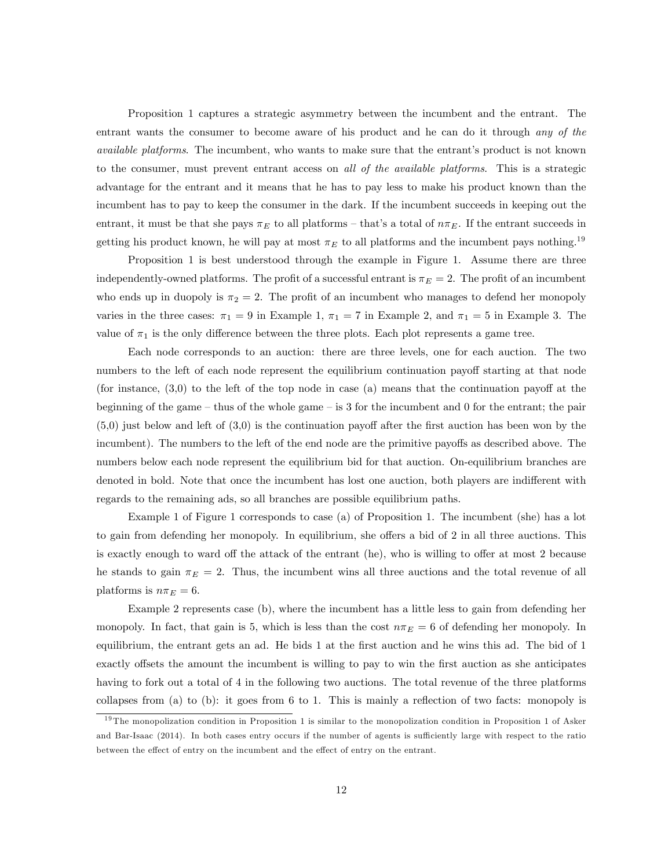Proposition 1 captures a strategic asymmetry between the incumbent and the entrant. The entrant wants the consumer to become aware of his product and he can do it through any of the available platforms. The incumbent, who wants to make sure that the entrant's product is not known to the consumer, must prevent entrant access on all of the available platforms. This is a strategic advantage for the entrant and it means that he has to pay less to make his product known than the incumbent has to pay to keep the consumer in the dark. If the incumbent succeeds in keeping out the entrant, it must be that she pays  $\pi_E$  to all platforms – that's a total of  $n\pi_E$ . If the entrant succeeds in getting his product known, he will pay at most  $\pi_E$  to all platforms and the incumbent pays nothing.<sup>19</sup>

Proposition 1 is best understood through the example in Figure 1. Assume there are three independently-owned platforms. The profit of a successful entrant is  $\pi_E = 2$ . The profit of an incumbent who ends up in duopoly is  $\pi_2 = 2$ . The profit of an incumbent who manages to defend her monopoly varies in the three cases:  $\pi_1 = 9$  in Example 1,  $\pi_1 = 7$  in Example 2, and  $\pi_1 = 5$  in Example 3. The value of  $\pi_1$  is the only difference between the three plots. Each plot represents a game tree.

Each node corresponds to an auction: there are three levels, one for each auction. The two numbers to the left of each node represent the equilibrium continuation payoff starting at that node (for instance,  $(3,0)$ ) to the left of the top node in case (a) means that the continuation payoff at the beginning of the game – thus of the whole game – is 3 for the incumbent and 0 for the entrant; the pair  $(5,0)$  just below and left of  $(3,0)$  is the continuation payoff after the first auction has been won by the incumbent). The numbers to the left of the end node are the primitive payoffs as described above. The numbers below each node represent the equilibrium bid for that auction. On-equilibrium branches are denoted in bold. Note that once the incumbent has lost one auction, both players are indifferent with regards to the remaining ads, so all branches are possible equilibrium paths.

Example 1 of Figure 1 corresponds to case (a) of Proposition 1. The incumbent (she) has a lot to gain from defending her monopoly. In equilibrium, she offers a bid of 2 in all three auctions. This is exactly enough to ward off the attack of the entrant (he), who is willing to offer at most 2 because he stands to gain  $\pi_E = 2$ . Thus, the incumbent wins all three auctions and the total revenue of all platforms is  $n\pi_E = 6$ .

Example 2 represents case (b), where the incumbent has a little less to gain from defending her monopoly. In fact, that gain is 5, which is less than the cost  $n\pi_E = 6$  of defending her monopoly. In equilibrium, the entrant gets an ad. He bids 1 at the first auction and he wins this ad. The bid of 1 exactly offsets the amount the incumbent is willing to pay to win the first auction as she anticipates having to fork out a total of 4 in the following two auctions. The total revenue of the three platforms collapses from (a) to (b): it goes from 6 to 1. This is mainly a reflection of two facts: monopoly is

<sup>&</sup>lt;sup>19</sup> The monopolization condition in Proposition 1 is similar to the monopolization condition in Proposition 1 of Asker and Bar-Isaac (2014). In both cases entry occurs if the number of agents is sufficiently large with respect to the ratio between the effect of entry on the incumbent and the effect of entry on the entrant.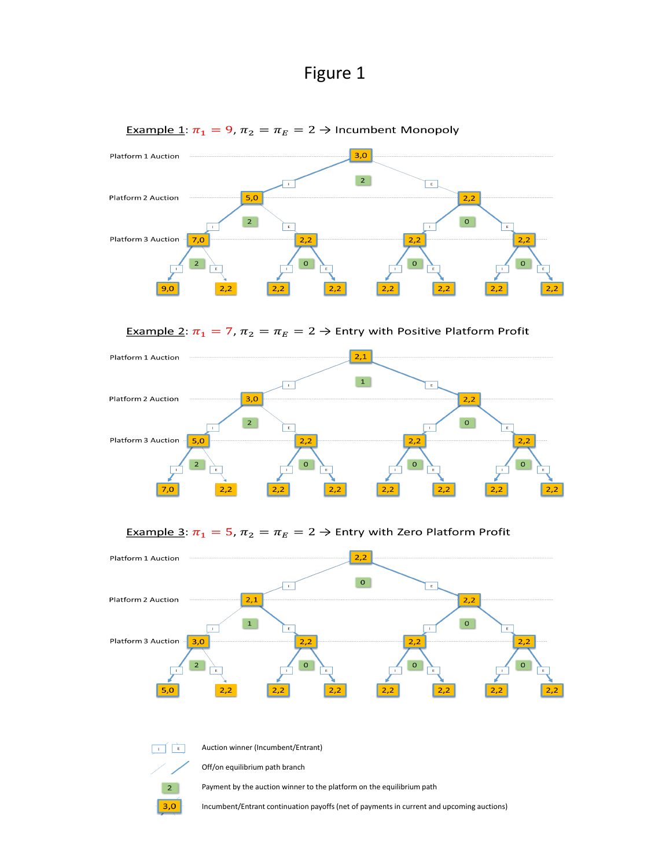Auction winner (Incumbent/Entrant)

Off/on equilibrium path branch

 $\overline{2}$  $3,0$ 

 $\Box$ 

Payment by the auction winner to the platform on the equilibrium path

Incumbent/Entrant continuation payoffs (net of payments in current and upcoming auctions)

# Figure 1



Example 1:  $\pi_1 = 9$ ,  $\pi_2 = \pi_E = 2 \rightarrow$  Incumbent Monopoly

Example 2:  $\pi_1 = 7$ ,  $\pi_2 = \pi_E = 2 \rightarrow$  Entry with Positive Platform Profit



Example 3:  $\pi_1 = 5$ ,  $\pi_2 = \pi_E = 2 \rightarrow$  Entry with Zero Platform Profit

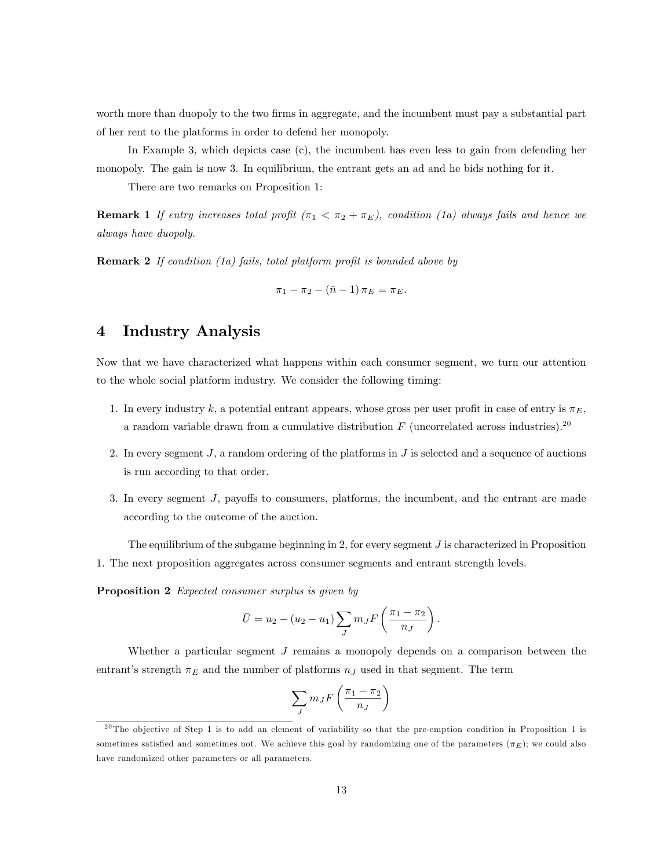worth more than duopoly to the two firms in aggregate, and the incumbent must pay a substantial part of her rent to the platforms in order to defend her monopoly.

In Example 3, which depicts case (c), the incumbent has even less to gain from defending her monopoly. The gain is now 3. In equilibrium, the entrant gets an ad and he bids nothing for it.

There are two remarks on Proposition 1:

**Remark 1** If entry increases total profit  $(\pi_1 < \pi_2 + \pi_E)$ , condition (1a) always fails and hence we always have duopoly.

**Remark 2** If condition (1a) fails, total platform profit is bounded above by

$$
\pi_1 - \pi_2 - (\bar{n} - 1) \pi_E = \pi_E.
$$

## 4 Industry Analysis

Now that we have characterized what happens within each consumer segment, we turn our attention to the whole social platform industry. We consider the following timing:

- 1. In every industry k, a potential entrant appears, whose gross per user profit in case of entry is  $\pi_E$ , a random variable drawn from a cumulative distribution  $F$  (uncorrelated across industries).<sup>20</sup>
- 2. In every segment J, a random ordering of the platforms in J is selected and a sequence of auctions is run according to that order.
- 3. In every segment  $J$ , payoffs to consumers, platforms, the incumbent, and the entrant are made according to the outcome of the auction.

The equilibrium of the subgame beginning in 2, for every segment  $J$  is characterized in Proposition 1. The next proposition aggregates across consumer segments and entrant strength levels.

Proposition 2 Expected consumer surplus is given by

$$
\bar{U} = u_2 - (u_2 - u_1) \sum_J m_J F\left(\frac{\pi_1 - \pi_2}{n_J}\right).
$$

Whether a particular segment J remains a monopoly depends on a comparison between the entrant's strength  $\pi_E$  and the number of platforms  $n_J$  used in that segment. The term

$$
\sum_{J} m_{J} F\left(\frac{\pi_{1} - \pi_{2}}{n_{J}}\right)
$$

 $20$ The objective of Step 1 is to add an element of variability so that the pre-emption condition in Proposition 1 is sometimes satisfied and sometimes not. We achieve this goal by randomizing one of the parameters  $(\pi_E)$ ; we could also have randomized other parameters or all parameters.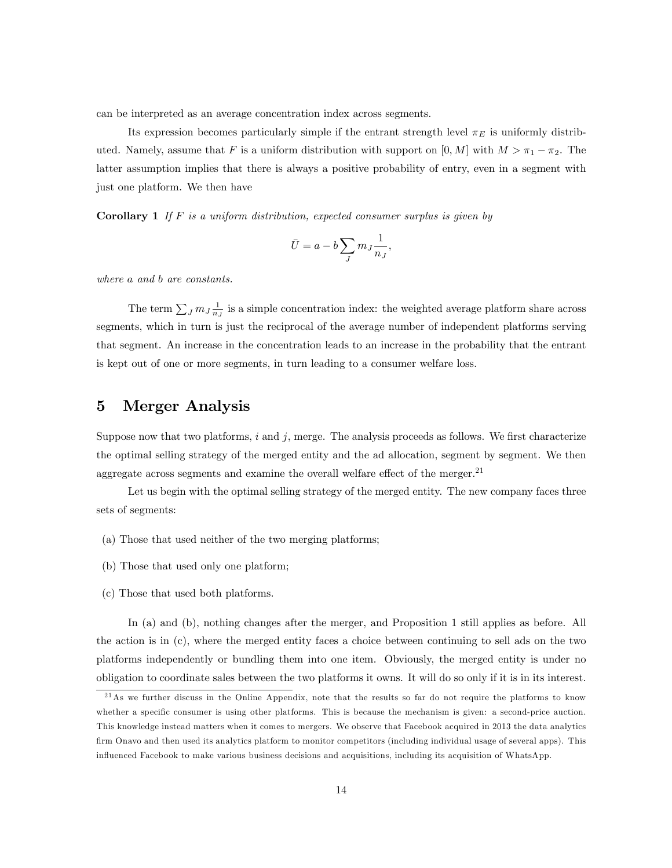can be interpreted as an average concentration index across segments.

Its expression becomes particularly simple if the entrant strength level  $\pi_E$  is uniformly distributed. Namely, assume that F is a uniform distribution with support on  $[0, M]$  with  $M > \pi_1 - \pi_2$ . The latter assumption implies that there is always a positive probability of entry, even in a segment with just one platform. We then have

**Corollary 1** If F is a uniform distribution, expected consumer surplus is given by

$$
\bar{U}=a-b\sum_J m_J\frac{1}{n_J},
$$

where a and b are constants.

The term  $\sum_{J} m_{J} \frac{1}{n_{J}}$  is a simple concentration index: the weighted average platform share across segments, which in turn is just the reciprocal of the average number of independent platforms serving that segment. An increase in the concentration leads to an increase in the probability that the entrant is kept out of one or more segments, in turn leading to a consumer welfare loss.

## 5 Merger Analysis

Suppose now that two platforms, i and j, merge. The analysis proceeds as follows. We first characterize the optimal selling strategy of the merged entity and the ad allocation, segment by segment. We then aggregate across segments and examine the overall welfare effect of the merger.<sup>21</sup>

Let us begin with the optimal selling strategy of the merged entity. The new company faces three sets of segments:

- (a) Those that used neither of the two merging platforms;
- (b) Those that used only one platform;
- (c) Those that used both platforms.

In (a) and (b), nothing changes after the merger, and Proposition 1 still applies as before. All the action is in (c), where the merged entity faces a choice between continuing to sell ads on the two platforms independently or bundling them into one item. Obviously, the merged entity is under no obligation to coordinate sales between the two platforms it owns. It will do so only if it is in its interest.

<sup>&</sup>lt;sup>21</sup>As we further discuss in the Online Appendix, note that the results so far do not require the platforms to know whether a specific consumer is using other platforms. This is because the mechanism is given: a second-price auction. This knowledge instead matters when it comes to mergers. We observe that Facebook acquired in 2013 the data analytics firm Onavo and then used its analytics platform to monitor competitors (including individual usage of several apps). This ináuenced Facebook to make various business decisions and acquisitions, including its acquisition of WhatsApp.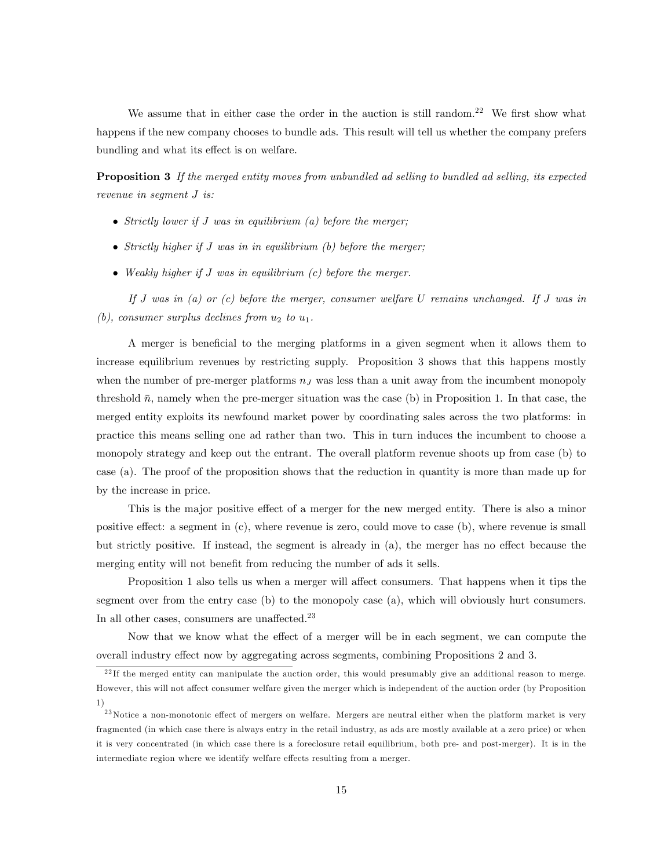We assume that in either case the order in the auction is still random.<sup>22</sup> We first show what happens if the new company chooses to bundle ads. This result will tell us whether the company prefers bundling and what its effect is on welfare.

**Proposition 3** If the merged entity moves from unbundled ad selling to bundled ad selling, its expected revenue in segment J is:

- $\bullet$  Strictly lower if J was in equilibrium (a) before the merger;
- $\bullet$  Strictly higher if J was in in equilibrium (b) before the merger;
- Weakly higher if J was in equilibrium (c) before the merger.

If J was in  $(a)$  or  $(c)$  before the merger, consumer welfare U remains unchanged. If J was in (b), consumer surplus declines from  $u_2$  to  $u_1$ .

A merger is beneficial to the merging platforms in a given segment when it allows them to increase equilibrium revenues by restricting supply. Proposition 3 shows that this happens mostly when the number of pre-merger platforms  $n<sub>J</sub>$  was less than a unit away from the incumbent monopoly threshold  $\bar{n}$ , namely when the pre-merger situation was the case (b) in Proposition 1. In that case, the merged entity exploits its newfound market power by coordinating sales across the two platforms: in practice this means selling one ad rather than two. This in turn induces the incumbent to choose a monopoly strategy and keep out the entrant. The overall platform revenue shoots up from case (b) to case (a). The proof of the proposition shows that the reduction in quantity is more than made up for by the increase in price.

This is the major positive effect of a merger for the new merged entity. There is also a minor positive effect: a segment in  $(c)$ , where revenue is zero, could move to case  $(b)$ , where revenue is small but strictly positive. If instead, the segment is already in  $(a)$ , the merger has no effect because the merging entity will not benefit from reducing the number of ads it sells.

Proposition 1 also tells us when a merger will affect consumers. That happens when it tips the segment over from the entry case (b) to the monopoly case (a), which will obviously hurt consumers. In all other cases, consumers are unaffected.<sup>23</sup>

Now that we know what the effect of a merger will be in each segment, we can compute the overall industry effect now by aggregating across segments, combining Propositions 2 and 3.

<sup>&</sup>lt;sup>22</sup>If the merged entity can manipulate the auction order, this would presumably give an additional reason to merge. However, this will not affect consumer welfare given the merger which is independent of the auction order (by Proposition 1)

 $^{23}$ Notice a non-monotonic effect of mergers on welfare. Mergers are neutral either when the platform market is very fragmented (in which case there is always entry in the retail industry, as ads are mostly available at a zero price) or when it is very concentrated (in which case there is a foreclosure retail equilibrium, both pre- and post-merger). It is in the intermediate region where we identify welfare effects resulting from a merger.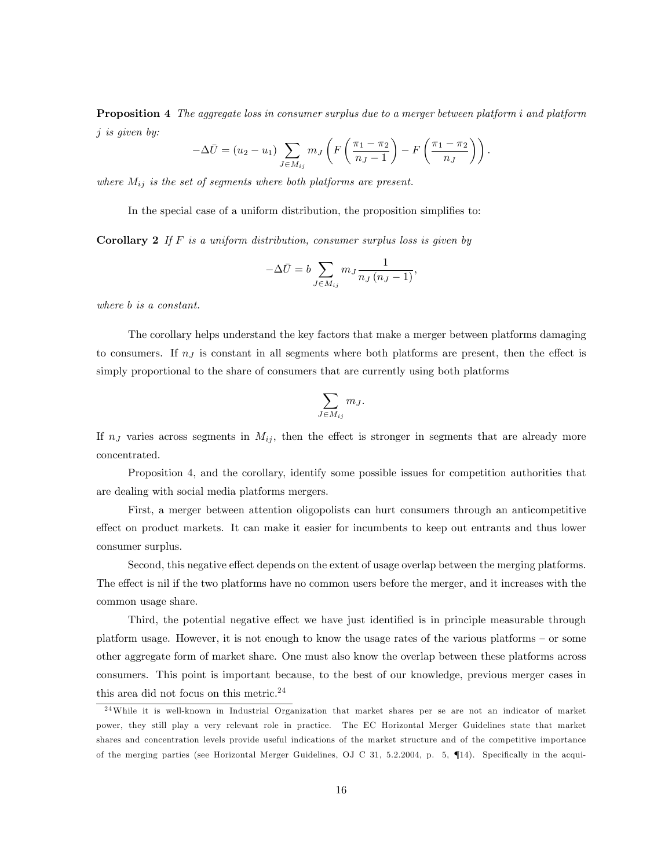Proposition 4 The aggregate loss in consumer surplus due to a merger between platform i and platform j is given by:

$$
-\Delta \bar{U} = (u_2 - u_1) \sum_{J \in M_{ij}} m_J \left( F \left( \frac{\pi_1 - \pi_2}{n_J - 1} \right) - F \left( \frac{\pi_1 - \pi_2}{n_J} \right) \right).
$$

where  $M_{ij}$  is the set of segments where both platforms are present.

In the special case of a uniform distribution, the proposition simplifies to:

**Corollary 2** If  $F$  is a uniform distribution, consumer surplus loss is given by

$$
-\Delta \bar{U} = b \sum_{J \in M_{ij}} m_J \frac{1}{n_J (n_J - 1)},
$$

where b is a constant.

The corollary helps understand the key factors that make a merger between platforms damaging to consumers. If  $n<sub>J</sub>$  is constant in all segments where both platforms are present, then the effect is simply proportional to the share of consumers that are currently using both platforms

$$
\sum_{J \in M_{ij}} m_J.
$$

If  $n<sub>J</sub>$  varies across segments in  $M<sub>ij</sub>$ , then the effect is stronger in segments that are already more concentrated.

Proposition 4, and the corollary, identify some possible issues for competition authorities that are dealing with social media platforms mergers.

First, a merger between attention oligopolists can hurt consumers through an anticompetitive effect on product markets. It can make it easier for incumbents to keep out entrants and thus lower consumer surplus.

Second, this negative effect depends on the extent of usage overlap between the merging platforms. The effect is nil if the two platforms have no common users before the merger, and it increases with the common usage share.

Third, the potential negative effect we have just identified is in principle measurable through platform usage. However, it is not enough to know the usage rates of the various platforms  $-$  or some other aggregate form of market share. One must also know the overlap between these platforms across consumers. This point is important because, to the best of our knowledge, previous merger cases in this area did not focus on this metric.<sup>24</sup>

<sup>24</sup>While it is well-known in Industrial Organization that market shares per se are not an indicator of market power, they still play a very relevant role in practice. The EC Horizontal Merger Guidelines state that market shares and concentration levels provide useful indications of the market structure and of the competitive importance of the merging parties (see Horizontal Merger Guidelines, OJ C 31, 5.2.2004, p. 5, 14). Specifically in the acqui-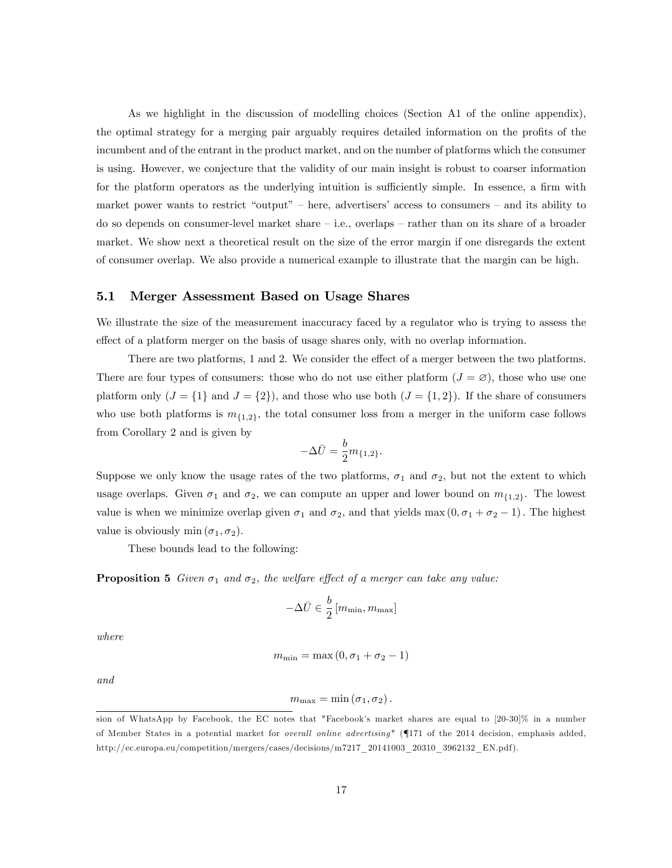As we highlight in the discussion of modelling choices (Section A1 of the online appendix), the optimal strategy for a merging pair arguably requires detailed information on the profits of the incumbent and of the entrant in the product market, and on the number of platforms which the consumer is using. However, we conjecture that the validity of our main insight is robust to coarser information for the platform operators as the underlying intuition is sufficiently simple. In essence, a firm with market power wants to restrict "output" – here, advertisers' access to consumers – and its ability to do so depends on consumer-level market share  $-$  i.e., overlaps  $-$  rather than on its share of a broader market. We show next a theoretical result on the size of the error margin if one disregards the extent of consumer overlap. We also provide a numerical example to illustrate that the margin can be high.

## 5.1 Merger Assessment Based on Usage Shares

We illustrate the size of the measurement inaccuracy faced by a regulator who is trying to assess the effect of a platform merger on the basis of usage shares only, with no overlap information.

There are two platforms, 1 and 2. We consider the effect of a merger between the two platforms. There are four types of consumers: those who do not use either platform  $(J = \emptyset)$ , those who use one platform only  $(J = \{1\}$  and  $J = \{2\})$ , and those who use both  $(J = \{1, 2\})$ . If the share of consumers who use both platforms is  $m_{1,2}$ , the total consumer loss from a merger in the uniform case follows from Corollary 2 and is given by

$$
-\Delta \bar{U} = \frac{b}{2} m_{\{1,2\}}.
$$

Suppose we only know the usage rates of the two platforms,  $\sigma_1$  and  $\sigma_2$ , but not the extent to which usage overlaps. Given  $\sigma_1$  and  $\sigma_2$ , we can compute an upper and lower bound on  $m_{\{1,2\}}$ . The lowest value is when we minimize overlap given  $\sigma_1$  and  $\sigma_2$ , and that yields max  $(0, \sigma_1 + \sigma_2 - 1)$ . The highest value is obviously min  $(\sigma_1, \sigma_2)$ .

These bounds lead to the following:

**Proposition 5** Given  $\sigma_1$  and  $\sigma_2$ , the welfare effect of a merger can take any value:

$$
-\Delta \bar{U} \in \frac{b}{2} \left[ m_{\min}, m_{\max} \right]
$$

where

$$
m_{\min} = \max(0, \sigma_1 + \sigma_2 - 1)
$$

and

$$
m_{\max} = \min(\sigma_1, \sigma_2).
$$

sion of WhatsApp by Facebook, the EC notes that "Facebook's market shares are equal to [20-30]% in a number of Member States in a potential market for *overall online advertising*" (171 of the 2014 decision, emphasis added, http://ec.europa.eu/competition/mergers/cases/decisions/m7217\_20141003\_20310\_3962132\_EN.pdf ).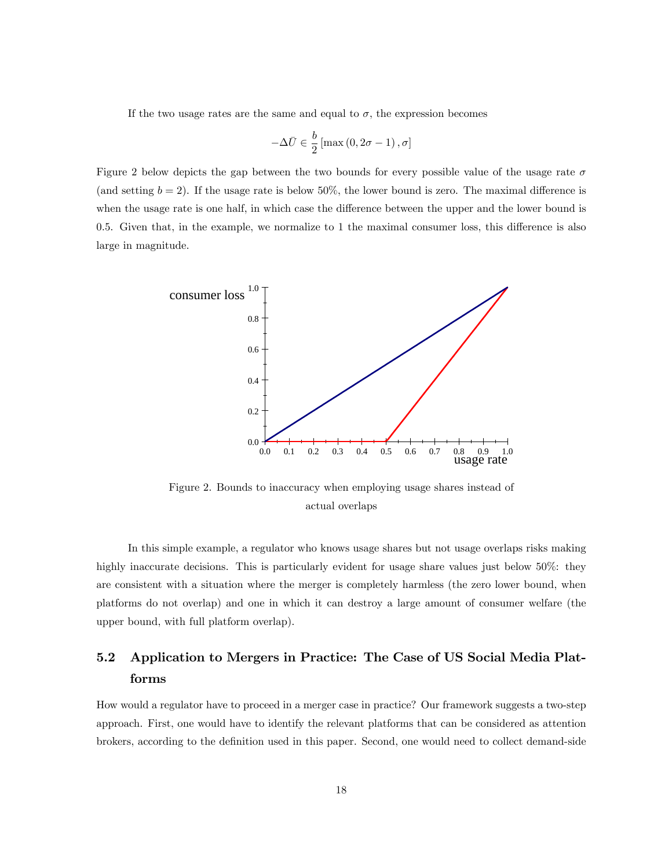If the two usage rates are the same and equal to  $\sigma$ , the expression becomes

$$
-\Delta \bar{U} \in \frac{b}{2} \left[ \max \left( 0, 2\sigma - 1 \right), \sigma \right]
$$

Figure 2 below depicts the gap between the two bounds for every possible value of the usage rate  $\sigma$ (and setting  $b = 2$ ). If the usage rate is below 50%, the lower bound is zero. The maximal difference is when the usage rate is one half, in which case the difference between the upper and the lower bound is  $0.5$ . Given that, in the example, we normalize to 1 the maximal consumer loss, this difference is also large in magnitude.



Figure 2. Bounds to inaccuracy when employing usage shares instead of actual overlaps

In this simple example, a regulator who knows usage shares but not usage overlaps risks making highly inaccurate decisions. This is particularly evident for usage share values just below 50%: they are consistent with a situation where the merger is completely harmless (the zero lower bound, when platforms do not overlap) and one in which it can destroy a large amount of consumer welfare (the upper bound, with full platform overlap).

# 5.2 Application to Mergers in Practice: The Case of US Social Media Platforms

How would a regulator have to proceed in a merger case in practice? Our framework suggests a two-step approach. First, one would have to identify the relevant platforms that can be considered as attention brokers, according to the definition used in this paper. Second, one would need to collect demand-side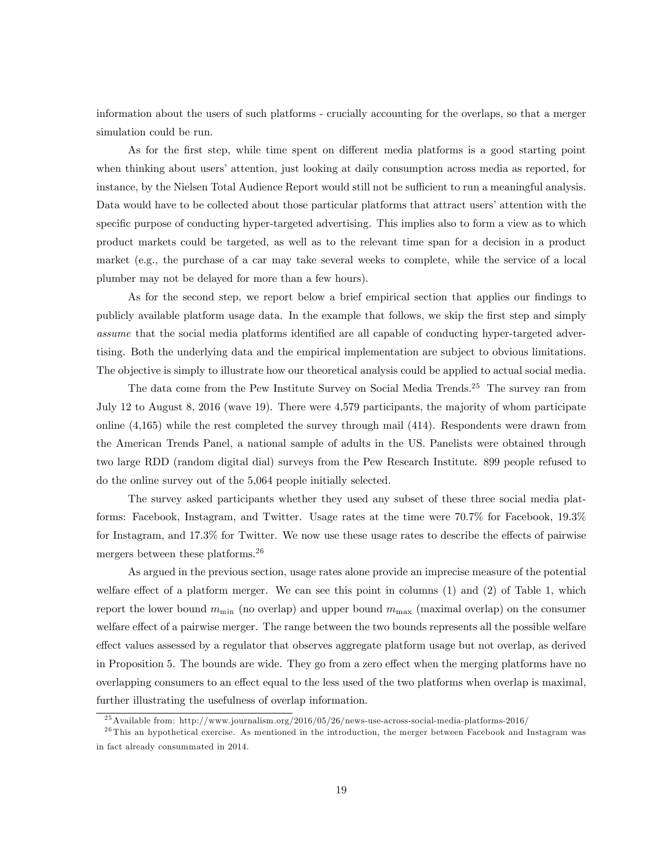information about the users of such platforms - crucially accounting for the overlaps, so that a merger simulation could be run.

As for the first step, while time spent on different media platforms is a good starting point when thinking about users' attention, just looking at daily consumption across media as reported, for instance, by the Nielsen Total Audience Report would still not be sufficient to run a meaningful analysis. Data would have to be collected about those particular platforms that attract users' attention with the specific purpose of conducting hyper-targeted advertising. This implies also to form a view as to which product markets could be targeted, as well as to the relevant time span for a decision in a product market (e.g., the purchase of a car may take several weeks to complete, while the service of a local plumber may not be delayed for more than a few hours).

As for the second step, we report below a brief empirical section that applies our findings to publicly available platform usage data. In the example that follows, we skip the first step and simply assume that the social media platforms identified are all capable of conducting hyper-targeted advertising. Both the underlying data and the empirical implementation are subject to obvious limitations. The objective is simply to illustrate how our theoretical analysis could be applied to actual social media.

The data come from the Pew Institute Survey on Social Media Trends.<sup>25</sup> The survey ran from July 12 to August 8, 2016 (wave 19). There were 4,579 participants, the majority of whom participate online (4,165) while the rest completed the survey through mail (414). Respondents were drawn from the American Trends Panel, a national sample of adults in the US. Panelists were obtained through two large RDD (random digital dial) surveys from the Pew Research Institute. 899 people refused to do the online survey out of the 5,064 people initially selected.

The survey asked participants whether they used any subset of these three social media platforms: Facebook, Instagram, and Twitter. Usage rates at the time were 70.7% for Facebook, 19.3% for Instagram, and  $17.3\%$  for Twitter. We now use these usage rates to describe the effects of pairwise mergers between these platforms.<sup>26</sup>

As argued in the previous section, usage rates alone provide an imprecise measure of the potential welfare effect of a platform merger. We can see this point in columns  $(1)$  and  $(2)$  of Table 1, which report the lower bound  $m_{\text{min}}$  (no overlap) and upper bound  $m_{\text{max}}$  (maximal overlap) on the consumer welfare effect of a pairwise merger. The range between the two bounds represents all the possible welfare effect values assessed by a regulator that observes aggregate platform usage but not overlap, as derived in Proposition 5. The bounds are wide. They go from a zero effect when the merging platforms have no overlapping consumers to an effect equal to the less used of the two platforms when overlap is maximal, further illustrating the usefulness of overlap information.

<sup>25</sup>Available from: http://www.journalism.org/2016/05/26/news-use-across-social-media-platforms-2016/

 $^{26}$ This an hypothetical exercise. As mentioned in the introduction, the merger between Facebook and Instagram was in fact already consummated in 2014.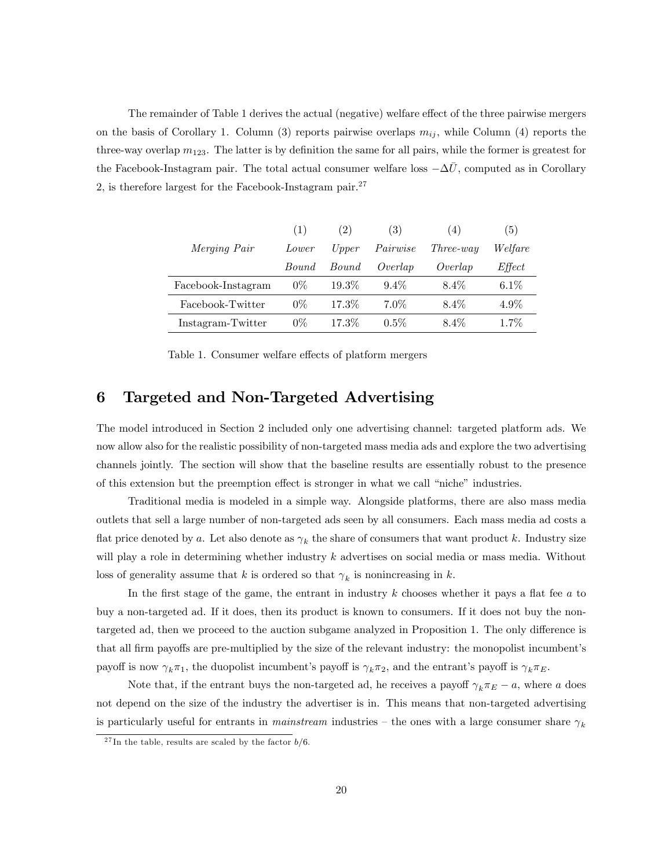The remainder of Table 1 derives the actual (negative) welfare effect of the three pairwise mergers on the basis of Corollary 1. Column (3) reports pairwise overlaps  $m_{ij}$ , while Column (4) reports the three-way overlap  $m_{123}$ . The latter is by definition the same for all pairs, while the former is greatest for the Facebook-Instagram pair. The total actual consumer welfare loss  $-\Delta \bar{U}$ , computed as in Corollary 2, is therefore largest for the Facebook-Instagram pair.<sup>27</sup>

|                     | (1)          | (2)      | (3)      | (4)              | $\left(5\right)$ |
|---------------------|--------------|----------|----------|------------------|------------------|
| <i>Merging Pair</i> | Lower        | Upper    | Pairwise | <i>Three-way</i> | Welfare          |
|                     | <i>Bound</i> | Bound    | Overlap  | Overlap          | Effect           |
| Facebook-Instagram  | $0\%$        | $19.3\%$ | $9.4\%$  | 8.4%             | $6.1\%$          |
| Facebook-Twitter    | $0\%$        | 17.3%    | $7.0\%$  | $8.4\%$          | $4.9\%$          |
| Instagram-Twitter   | $0\%$        | 17.3%    | $0.5\%$  | 8.4%             | $1.7\%$          |

Table 1. Consumer welfare effects of platform mergers

## 6 Targeted and Non-Targeted Advertising

The model introduced in Section 2 included only one advertising channel: targeted platform ads. We now allow also for the realistic possibility of non-targeted mass media ads and explore the two advertising channels jointly. The section will show that the baseline results are essentially robust to the presence of this extension but the preemption effect is stronger in what we call "niche" industries.

Traditional media is modeled in a simple way. Alongside platforms, there are also mass media outlets that sell a large number of non-targeted ads seen by all consumers. Each mass media ad costs a flat price denoted by a. Let also denote as  $\gamma_k$  the share of consumers that want product k. Industry size will play a role in determining whether industry k advertises on social media or mass media. Without loss of generality assume that k is ordered so that  $\gamma_k$  is nonincreasing in k.

In the first stage of the game, the entrant in industry  $k$  chooses whether it pays a flat fee  $a$  to buy a non-targeted ad. If it does, then its product is known to consumers. If it does not buy the nontargeted ad, then we proceed to the auction subgame analyzed in Proposition 1. The only difference is that all firm payoffs are pre-multiplied by the size of the relevant industry: the monopolist incumbent's payoff is now  $\gamma_k \pi_1$ , the duopolist incumbent's payoff is  $\gamma_k \pi_2$ , and the entrant's payoff is  $\gamma_k \pi_E$ .

Note that, if the entrant buys the non-targeted ad, he receives a payoff  $\gamma_k \pi_E - a$ , where a does not depend on the size of the industry the advertiser is in. This means that non-targeted advertising is particularly useful for entrants in *mainstream* industries – the ones with a large consumer share  $\gamma_k$ 

<sup>&</sup>lt;sup>27</sup>In the table, results are scaled by the factor  $b/6$ .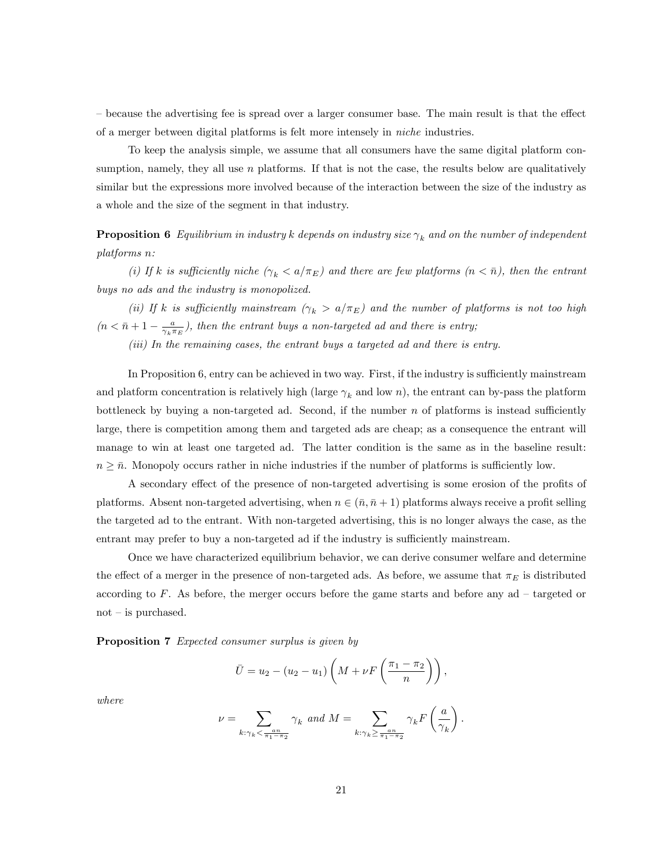– because the advertising fee is spread over a larger consumer base. The main result is that the effect of a merger between digital platforms is felt more intensely in niche industries.

To keep the analysis simple, we assume that all consumers have the same digital platform consumption, namely, they all use  $n$  platforms. If that is not the case, the results below are qualitatively similar but the expressions more involved because of the interaction between the size of the industry as a whole and the size of the segment in that industry.

**Proposition 6** Equilibrium in industry k depends on industry size  $\gamma_k$  and on the number of independent platforms n:

(i) If k is sufficiently niche  $(\gamma_k < a/\pi_E)$  and there are few platforms  $(n < \bar{n})$ , then the entrant buys no ads and the industry is monopolized.

(ii) If k is sufficiently mainstream  $(\gamma_k > a/\pi_E)$  and the number of platforms is not too high  $(n < \bar{n} + 1 - \frac{a}{\gamma_k \pi_E})$ , then the entrant buys a non-targeted ad and there is entry;

(iii) In the remaining cases, the entrant buys a targeted ad and there is entry.

In Proposition 6, entry can be achieved in two way. First, if the industry is sufficiently mainstream and platform concentration is relatively high (large  $\gamma_k$  and low n), the entrant can by-pass the platform bottleneck by buying a non-targeted ad. Second, if the number  $n$  of platforms is instead sufficiently large, there is competition among them and targeted ads are cheap; as a consequence the entrant will manage to win at least one targeted ad. The latter condition is the same as in the baseline result:  $n \geq \bar{n}$ . Monopoly occurs rather in niche industries if the number of platforms is sufficiently low.

A secondary effect of the presence of non-targeted advertising is some erosion of the profits of platforms. Absent non-targeted advertising, when  $n \in (\bar{n}, \bar{n} + 1)$  platforms always receive a profit selling the targeted ad to the entrant. With non-targeted advertising, this is no longer always the case, as the entrant may prefer to buy a non-targeted ad if the industry is sufficiently mainstream.

Once we have characterized equilibrium behavior, we can derive consumer welfare and determine the effect of a merger in the presence of non-targeted ads. As before, we assume that  $\pi_E$  is distributed according to  $F$ . As before, the merger occurs before the game starts and before any ad  $-$  targeted or  $not$  – is purchased.

**Proposition 7** Expected consumer surplus is given by

$$
\bar{U} = u_2 - (u_2 - u_1) \left( M + \nu F\left(\frac{\pi_1 - \pi_2}{n}\right) \right),
$$

where

$$
\nu = \sum_{k: \gamma_k < \frac{an}{\pi_1 - \pi_2}} \gamma_k \text{ and } M = \sum_{k: \gamma_k \ge \frac{an}{\pi_1 - \pi_2}} \gamma_k F\left(\frac{a}{\gamma_k}\right).
$$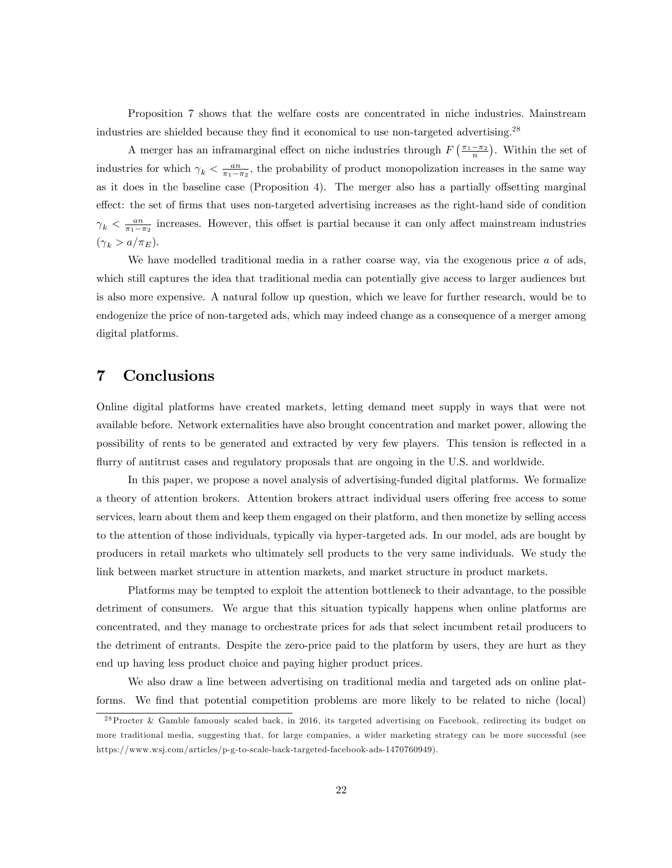Proposition 7 shows that the welfare costs are concentrated in niche industries. Mainstream industries are shielded because they find it economical to use non-targeted advertising.<sup>28</sup>

A merger has an inframarginal effect on niche industries through  $F\left(\frac{\pi_1-\pi_2}{n}\right)$ . Within the set of industries for which  $\gamma_k < \frac{an}{\pi_1 - \pi_2}$ , the probability of product monopolization increases in the same way as it does in the baseline case (Proposition 4). The merger also has a partially offsetting marginal effect: the set of firms that uses non-targeted advertising increases as the right-hand side of condition  $\gamma_k < \frac{a_n}{\pi_1 - \pi_2}$  increases. However, this offset is partial because it can only affect mainstream industries  $(\gamma_k > a/\pi_E).$ 

We have modelled traditional media in a rather coarse way, via the exogenous price  $a$  of ads, which still captures the idea that traditional media can potentially give access to larger audiences but is also more expensive. A natural follow up question, which we leave for further research, would be to endogenize the price of non-targeted ads, which may indeed change as a consequence of a merger among digital platforms.

## 7 Conclusions

Online digital platforms have created markets, letting demand meet supply in ways that were not available before. Network externalities have also brought concentration and market power, allowing the possibility of rents to be generated and extracted by very few players. This tension is reflected in a flurry of antitrust cases and regulatory proposals that are ongoing in the U.S. and worldwide.

In this paper, we propose a novel analysis of advertising-funded digital platforms. We formalize a theory of attention brokers. Attention brokers attract individual users offering free access to some services, learn about them and keep them engaged on their platform, and then monetize by selling access to the attention of those individuals, typically via hyper-targeted ads. In our model, ads are bought by producers in retail markets who ultimately sell products to the very same individuals. We study the link between market structure in attention markets, and market structure in product markets.

Platforms may be tempted to exploit the attention bottleneck to their advantage, to the possible detriment of consumers. We argue that this situation typically happens when online platforms are concentrated, and they manage to orchestrate prices for ads that select incumbent retail producers to the detriment of entrants. Despite the zero-price paid to the platform by users, they are hurt as they end up having less product choice and paying higher product prices.

We also draw a line between advertising on traditional media and targeted ads on online platforms. We find that potential competition problems are more likely to be related to niche (local)

 $^{28}$ Procter & Gamble famously scaled back, in 2016, its targeted advertising on Facebook, redirecting its budget on more traditional media, suggesting that, for large companies, a wider marketing strategy can be more successful (see https://www.wsj.com/articles/p-g-to-scale-back-targeted-facebook-ads-1470760949).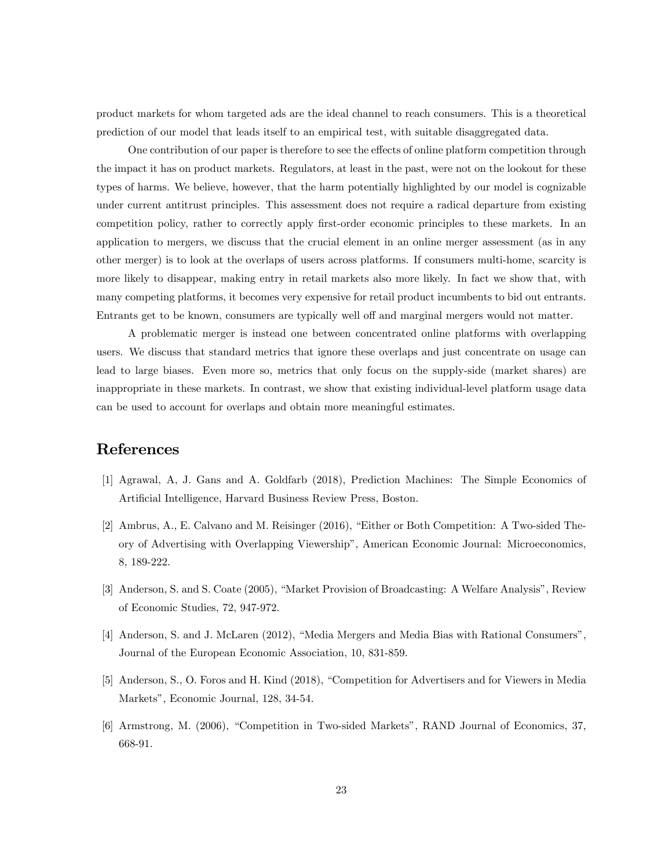product markets for whom targeted ads are the ideal channel to reach consumers. This is a theoretical prediction of our model that leads itself to an empirical test, with suitable disaggregated data.

One contribution of our paper is therefore to see the effects of online platform competition through the impact it has on product markets. Regulators, at least in the past, were not on the lookout for these types of harms. We believe, however, that the harm potentially highlighted by our model is cognizable under current antitrust principles. This assessment does not require a radical departure from existing competition policy, rather to correctly apply first-order economic principles to these markets. In an application to mergers, we discuss that the crucial element in an online merger assessment (as in any other merger) is to look at the overlaps of users across platforms. If consumers multi-home, scarcity is more likely to disappear, making entry in retail markets also more likely. In fact we show that, with many competing platforms, it becomes very expensive for retail product incumbents to bid out entrants. Entrants get to be known, consumers are typically well off and marginal mergers would not matter.

A problematic merger is instead one between concentrated online platforms with overlapping users. We discuss that standard metrics that ignore these overlaps and just concentrate on usage can lead to large biases. Even more so, metrics that only focus on the supply-side (market shares) are inappropriate in these markets. In contrast, we show that existing individual-level platform usage data can be used to account for overlaps and obtain more meaningful estimates.

# References

- [1] Agrawal, A, J. Gans and A. Goldfarb (2018), Prediction Machines: The Simple Economics of Artificial Intelligence, Harvard Business Review Press, Boston.
- [2] Ambrus, A., E. Calvano and M. Reisinger (2016), "Either or Both Competition: A Two-sided Theory of Advertising with Overlapping Viewershipî, American Economic Journal: Microeconomics, 8, 189-222.
- [3] Anderson, S. and S. Coate (2005), "Market Provision of Broadcasting: A Welfare Analysis", Review of Economic Studies, 72, 947-972.
- [4] Anderson, S. and J. McLaren (2012), "Media Mergers and Media Bias with Rational Consumers", Journal of the European Economic Association, 10, 831-859.
- [5] Anderson, S., O. Foros and H. Kind (2018), "Competition for Advertisers and for Viewers in Media Markets", Economic Journal, 128, 34-54.
- [6] Armstrong, M. (2006), "Competition in Two-sided Markets", RAND Journal of Economics, 37, 668-91.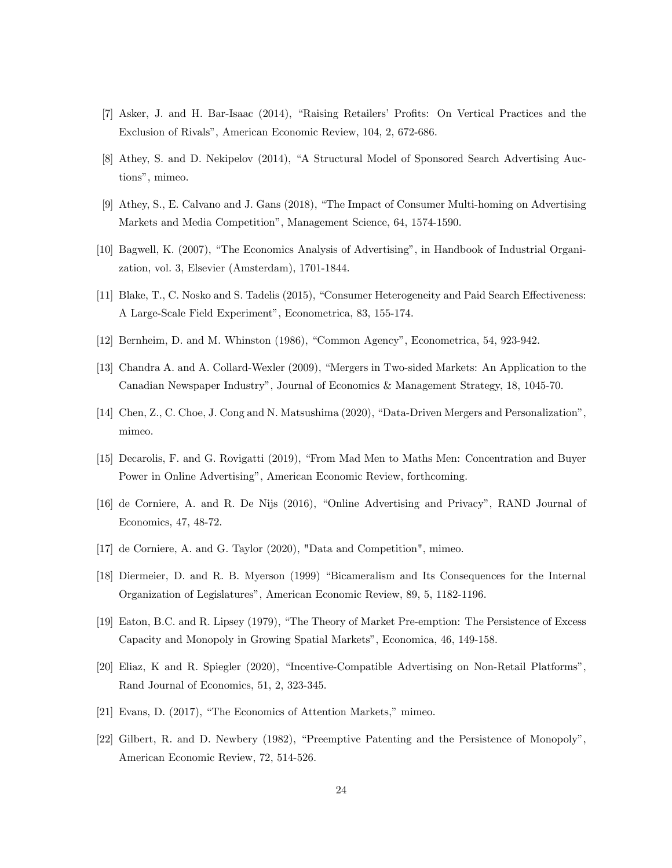- [7] Asker, J. and H. Bar-Isaac (2014), "Raising Retailers' Profits: On Vertical Practices and the Exclusion of Rivals", American Economic Review, 104, 2, 672-686.
- [8] Athey, S. and D. Nekipelov (2014), "A Structural Model of Sponsored Search Advertising Auctions", mimeo.
- [9] Athey, S., E. Calvano and J. Gans (2018), "The Impact of Consumer Multi-homing on Advertising Markets and Media Competition", Management Science, 64, 1574-1590.
- [10] Bagwell, K. (2007), "The Economics Analysis of Advertising", in Handbook of Industrial Organization, vol. 3, Elsevier (Amsterdam), 1701-1844.
- [11] Blake, T., C. Nosko and S. Tadelis (2015), "Consumer Heterogeneity and Paid Search Effectiveness: A Large-Scale Field Experiment", Econometrica, 83, 155-174.
- [12] Bernheim, D. and M. Whinston  $(1986)$ , "Common Agency", Econometrica, 54, 923-942.
- [13] Chandra A. and A. Collard-Wexler (2009), "Mergers in Two-sided Markets: An Application to the Canadian Newspaper Industryî, Journal of Economics & Management Strategy, 18, 1045-70.
- [14] Chen, Z., C. Choe, J. Cong and N. Matsushima (2020), "Data-Driven Mergers and Personalization", mimeo.
- [15] Decarolis, F. and G. Rovigatti (2019), "From Mad Men to Maths Men: Concentration and Buyer Power in Online Advertising", American Economic Review, forthcoming.
- [16] de Corniere, A. and R. De Nijs (2016), "Online Advertising and Privacy", RAND Journal of Economics, 47, 48-72.
- [17] de Corniere, A. and G. Taylor (2020), "Data and Competition", mimeo.
- [18] Diermeier, D. and R. B. Myerson (1999) "Bicameralism and Its Consequences for the Internal Organization of Legislaturesî, American Economic Review, 89, 5, 1182-1196.
- [19] Eaton, B.C. and R. Lipsey (1979), "The Theory of Market Pre-emption: The Persistence of Excess Capacity and Monopoly in Growing Spatial Marketsî, Economica, 46, 149-158.
- [20] Eliaz, K and R. Spiegler (2020), "Incentive-Compatible Advertising on Non-Retail Platforms", Rand Journal of Economics, 51, 2, 323-345.
- $[21]$  Evans, D.  $(2017)$ , "The Economics of Attention Markets," mimeo.
- [22] Gilbert, R. and D. Newbery (1982), "Preemptive Patenting and the Persistence of Monopoly", American Economic Review, 72, 514-526.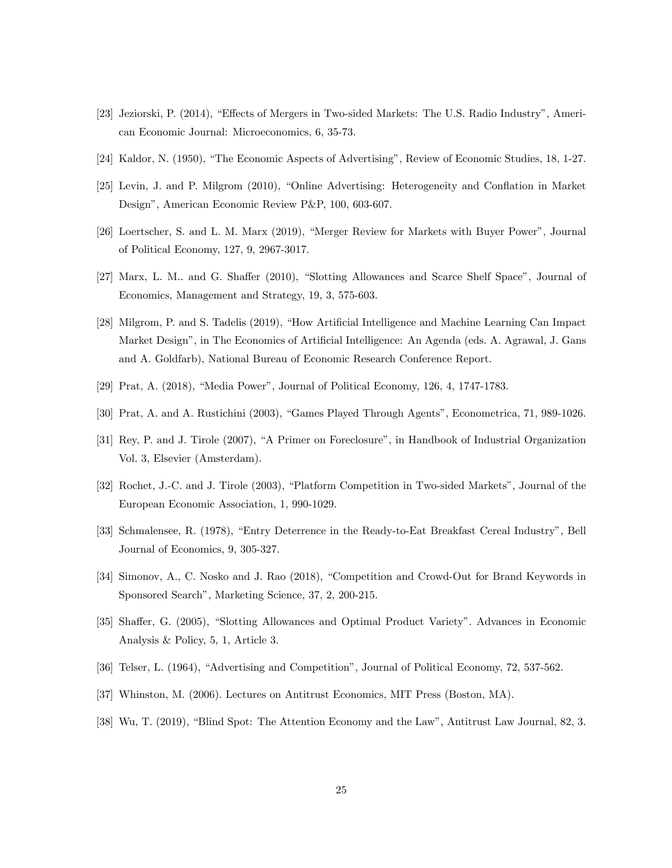- [23] Jeziorski, P. (2014), "Effects of Mergers in Two-sided Markets: The U.S. Radio Industry", American Economic Journal: Microeconomics, 6, 35-73.
- [24] Kaldor, N. (1950), "The Economic Aspects of Advertising", Review of Economic Studies, 18, 1-27.
- [25] Levin, J. and P. Milgrom (2010), "Online Advertising: Heterogeneity and Conflation in Market Design", American Economic Review P&P, 100, 603-607.
- [26] Loertscher, S. and L. M. Marx (2019), "Merger Review for Markets with Buyer Power", Journal of Political Economy, 127, 9, 2967-3017.
- [27] Marx, L. M.. and G. Shaffer (2010), "Slotting Allowances and Scarce Shelf Space", Journal of Economics, Management and Strategy, 19, 3, 575-603.
- [28] Milgrom, P. and S. Tadelis (2019), "How Artificial Intelligence and Machine Learning Can Impact Market Design", in The Economics of Artificial Intelligence: An Agenda (eds. A. Agrawal, J. Gans and A. Goldfarb), National Bureau of Economic Research Conference Report.
- [29] Prat, A. (2018), "Media Power", Journal of Political Economy, 126, 4, 1747-1783.
- [30] Prat, A. and A. Rustichini (2003), "Games Played Through Agents", Econometrica, 71, 989-1026.
- [31] Rey, P. and J. Tirole (2007), "A Primer on Foreclosure", in Handbook of Industrial Organization Vol. 3, Elsevier (Amsterdam).
- [32] Rochet, J.-C. and J. Tirole (2003), "Platform Competition in Two-sided Markets", Journal of the European Economic Association, 1, 990-1029.
- [33] Schmalensee, R. (1978), "Entry Deterrence in the Ready-to-Eat Breakfast Cereal Industry", Bell Journal of Economics, 9, 305-327.
- [34] Simonov, A., C. Nosko and J. Rao (2018), "Competition and Crowd-Out for Brand Keywords in Sponsored Search", Marketing Science, 37, 2, 200-215.
- [35] Shaffer, G. (2005), "Slotting Allowances and Optimal Product Variety". Advances in Economic Analysis & Policy, 5, 1, Article 3.
- [36] Telser, L. (1964), "Advertising and Competition", Journal of Political Economy, 72, 537-562.
- [37] Whinston, M. (2006). Lectures on Antitrust Economics, MIT Press (Boston, MA).
- [38] Wu, T. (2019), "Blind Spot: The Attention Economy and the Law", Antitrust Law Journal, 82, 3.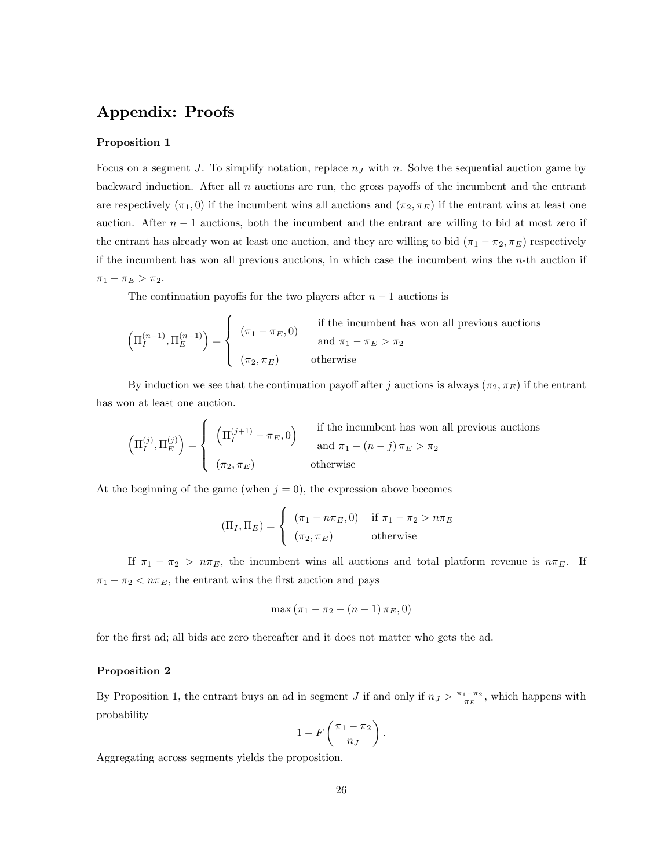## Appendix: Proofs

## Proposition 1

Focus on a segment J. To simplify notation, replace  $n<sub>J</sub>$  with n. Solve the sequential auction game by backward induction. After all  $n$  auctions are run, the gross payoffs of the incumbent and the entrant are respectively  $(\pi_1, 0)$  if the incumbent wins all auctions and  $(\pi_2, \pi_E)$  if the entrant wins at least one auction. After  $n-1$  auctions, both the incumbent and the entrant are willing to bid at most zero if the entrant has already won at least one auction, and they are willing to bid  $(\pi_1 - \pi_2, \pi_E)$  respectively if the incumbent has won all previous auctions, in which case the incumbent wins the n-th auction if  $\pi_1 - \pi_E > \pi_2.$ 

The continuation payoffs for the two players after  $n-1$  auctions is

$$
\left(\Pi_{I}^{(n-1)},\Pi_{E}^{(n-1)}\right) = \begin{cases} (\pi_1 - \pi_E, 0) & \text{if the incumbent has won all previous auctions} \\ (\pi_2, \pi_E) & \text{otherwise} \end{cases}
$$

By induction we see that the continuation payoff after j auctions is always  $(\pi_2, \pi_E)$  if the entrant has won at least one auction.

$$
\left(\Pi_I^{(j)},\Pi_E^{(j)}\right) = \begin{cases} \begin{array}{ll} \left(\Pi_I^{(j+1)} - \pi_E,0\right) & \text{if the incumbent has won all previous auctions} \\ & \text{and } \pi_1 - (n-j)\,\pi_E > \pi_2 \\ & \text{otherwise} \end{array} \end{cases}
$$

At the beginning of the game (when  $j = 0$ ), the expression above becomes

$$
(\Pi_I, \Pi_E) = \begin{cases} (\pi_1 - n\pi_E, 0) & \text{if } \pi_1 - \pi_2 > n\pi_E \\ (\pi_2, \pi_E) & \text{otherwise} \end{cases}
$$

If  $\pi_1 - \pi_2 > n\pi_E$ , the incumbent wins all auctions and total platform revenue is  $n\pi_E$ . If  $\pi_1 - \pi_2 < n\pi_E$ , the entrant wins the first auction and pays

$$
\max(\pi_1 - \pi_2 - (n - 1)\,\pi_E, 0)
$$

for the first ad; all bids are zero thereafter and it does not matter who gets the ad.

#### Proposition 2

By Proposition 1, the entrant buys an ad in segment J if and only if  $n_J > \frac{\pi_1 - \pi_2}{\pi_E}$ , which happens with probability

$$
1 - F\left(\frac{\pi_1 - \pi_2}{n_J}\right).
$$

Aggregating across segments yields the proposition.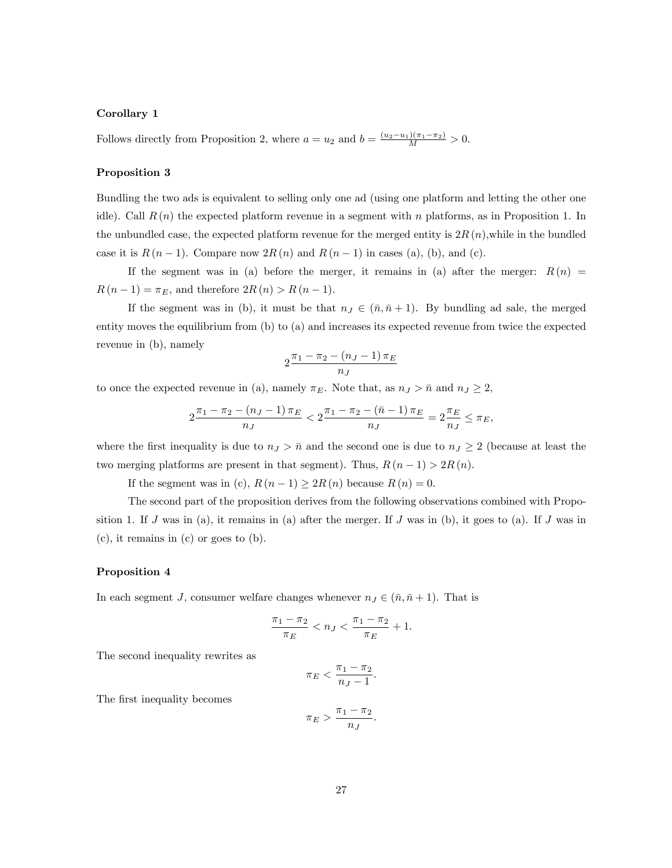#### Corollary 1

Follows directly from Proposition 2, where  $a = u_2$  and  $b = \frac{(u_2 - u_1)(\pi_1 - \pi_2)}{M} > 0$ .

#### Proposition 3

Bundling the two ads is equivalent to selling only one ad (using one platform and letting the other one idle). Call  $R(n)$  the expected platform revenue in a segment with n platforms, as in Proposition 1. In the unbundled case, the expected platform revenue for the merged entity is  $2R(n)$ , while in the bundled case it is  $R(n-1)$ . Compare now  $2R(n)$  and  $R(n-1)$  in cases (a), (b), and (c).

If the segment was in (a) before the merger, it remains in (a) after the merger:  $R(n)$  $R(n-1) = \pi_E$ , and therefore  $2R(n) > R(n-1)$ .

If the segment was in (b), it must be that  $n_J \in (\bar{n}, \bar{n} + 1)$ . By bundling ad sale, the merged entity moves the equilibrium from (b) to (a) and increases its expected revenue from twice the expected revenue in (b), namely

$$
2\frac{\pi_1 - \pi_2 - (n_J - 1)\pi_E}{n_J}
$$

to once the expected revenue in (a), namely  $\pi_E$ . Note that, as  $n_J > \bar{n}$  and  $n_J \geq 2$ ,

$$
2\frac{\pi_1 - \pi_2 - (n_J - 1)\pi_E}{n_J} < 2\frac{\pi_1 - \pi_2 - (\bar{n} - 1)\pi_E}{n_J} = 2\frac{\pi_E}{n_J} \le \pi_E,
$$

where the first inequality is due to  $n_J > \bar{n}$  and the second one is due to  $n_J \geq 2$  (because at least the two merging platforms are present in that segment). Thus,  $R(n-1) > 2R(n)$ .

If the segment was in (c),  $R(n-1) \geq 2R(n)$  because  $R(n) = 0$ .

The second part of the proposition derives from the following observations combined with Proposition 1. If J was in (a), it remains in (a) after the merger. If J was in (b), it goes to (a). If J was in (c), it remains in (c) or goes to (b).

#### Proposition 4

In each segment J, consumer welfare changes whenever  $n_J \in (\bar{n}, \bar{n} + 1)$ . That is

$$
\frac{\pi_1 - \pi_2}{\pi_E} < n_J < \frac{\pi_1 - \pi_2}{\pi_E} + 1.
$$

The second inequality rewrites as

$$
\pi_E < \frac{\pi_1 - \pi_2}{n_J - 1}.
$$

The first inequality becomes

$$
\pi_E > \frac{\pi_1 - \pi_2}{n_J}.
$$